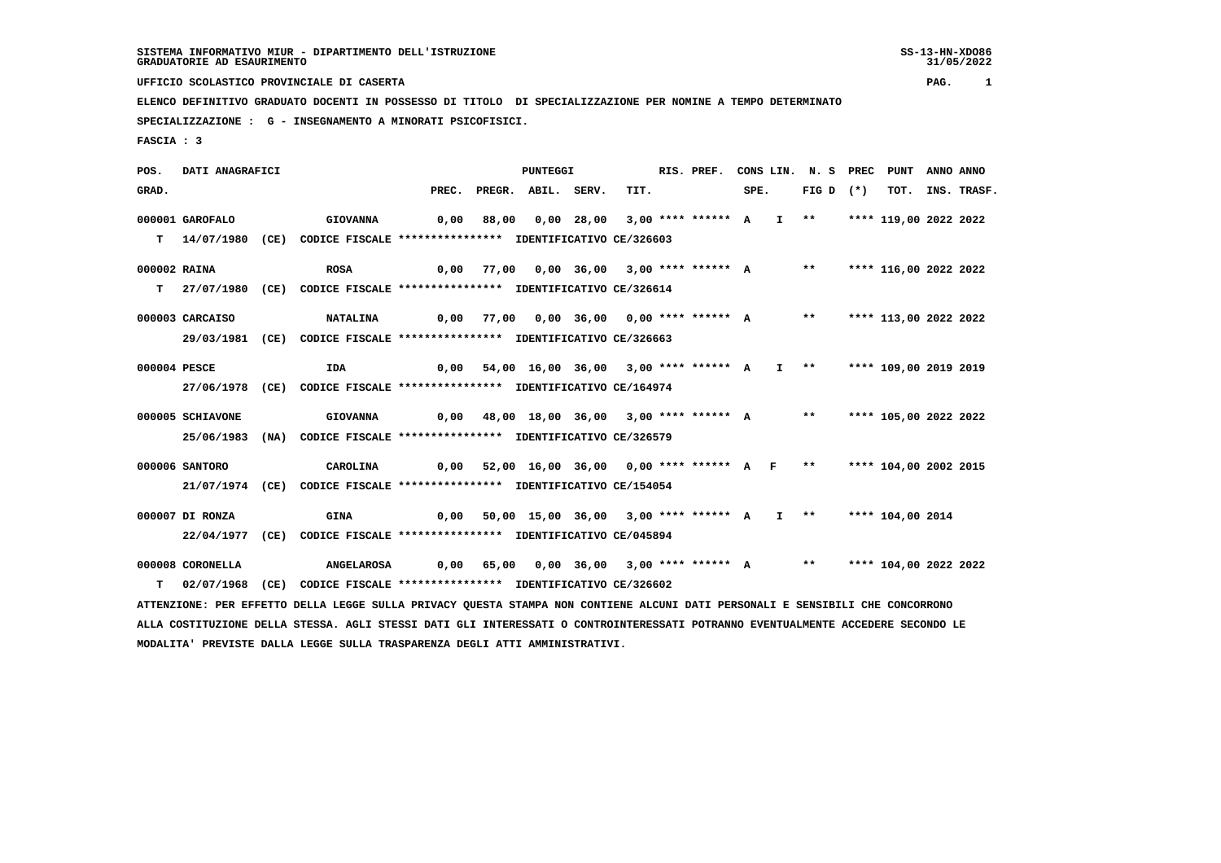**UFFICIO SCOLASTICO PROVINCIALE DI CASERTA PAG. 1**

 **ELENCO DEFINITIVO GRADUATO DOCENTI IN POSSESSO DI TITOLO DI SPECIALIZZAZIONE PER NOMINE A TEMPO DETERMINATO SPECIALIZZAZIONE : G - INSEGNAMENTO A MINORATI PSICOFISICI.**

 **FASCIA : 3**

 **POS. DATI ANAGRAFICI PUNTEGGI RIS. PREF. CONS LIN. N. S PREC PUNT ANNO ANNO**GRAD. **BRAD. PREC. PREGR. ABIL. SERV.** TIT. SPE. FIG D (\*) TOT. INS. TRASF.  **000001 GAROFALO GIOVANNA 0,00 88,00 0,00 28,00 3,00 \*\*\*\* \*\*\*\*\*\* A I \*\* \*\*\*\* 119,00 2022 2022 T 14/07/1980 (CE) CODICE FISCALE \*\*\*\*\*\*\*\*\*\*\*\*\*\*\*\* IDENTIFICATIVO CE/326603 000002 RAINA ROSA 0,00 77,00 0,00 36,00 3,00 \*\*\*\* \*\*\*\*\*\* A \*\* \*\*\*\* 116,00 2022 2022 T 27/07/1980 (CE) CODICE FISCALE \*\*\*\*\*\*\*\*\*\*\*\*\*\*\*\* IDENTIFICATIVO CE/326614 000003 CARCAISO NATALINA 0,00 77,00 0,00 36,00 0,00 \*\*\*\* \*\*\*\*\*\* A \*\* \*\*\*\* 113,00 2022 2022 29/03/1981 (CE) CODICE FISCALE \*\*\*\*\*\*\*\*\*\*\*\*\*\*\*\* IDENTIFICATIVO CE/326663 000004 PESCE IDA 0,00 54,00 16,00 36,00 3,00 \*\*\*\* \*\*\*\*\*\* A I \*\* \*\*\*\* 109,00 2019 2019 27/06/1978 (CE) CODICE FISCALE \*\*\*\*\*\*\*\*\*\*\*\*\*\*\*\* IDENTIFICATIVO CE/164974 000005 SCHIAVONE GIOVANNA 0,00 48,00 18,00 36,00 3,00 \*\*\*\* \*\*\*\*\*\* A \*\* \*\*\*\* 105,00 2022 2022 25/06/1983 (NA) CODICE FISCALE \*\*\*\*\*\*\*\*\*\*\*\*\*\*\*\* IDENTIFICATIVO CE/326579 000006 SANTORO CAROLINA 0,00 52,00 16,00 36,00 0,00 \*\*\*\* \*\*\*\*\*\* A F \*\* \*\*\*\* 104,00 2002 2015 21/07/1974 (CE) CODICE FISCALE \*\*\*\*\*\*\*\*\*\*\*\*\*\*\*\* IDENTIFICATIVO CE/154054 000007 DI RONZA GINA 0,00 50,00 15,00 36,00 3,00 \*\*\*\* \*\*\*\*\*\* A I \*\* \*\*\*\* 104,00 2014 22/04/1977 (CE) CODICE FISCALE \*\*\*\*\*\*\*\*\*\*\*\*\*\*\*\* IDENTIFICATIVO CE/045894 000008 CORONELLA ANGELAROSA 0,00 65,00 0,00 36,00 3,00 \*\*\*\* \*\*\*\*\*\* A \*\* \*\*\*\* 104,00 2022 2022 T 02/07/1968 (CE) CODICE FISCALE \*\*\*\*\*\*\*\*\*\*\*\*\*\*\*\* IDENTIFICATIVO CE/326602 ATTENZIONE: PER EFFETTO DELLA LEGGE SULLA PRIVACY QUESTA STAMPA NON CONTIENE ALCUNI DATI PERSONALI E SENSIBILI CHE CONCORRONO ALLA COSTITUZIONE DELLA STESSA. AGLI STESSI DATI GLI INTERESSATI O CONTROINTERESSATI POTRANNO EVENTUALMENTE ACCEDERE SECONDO LE MODALITA' PREVISTE DALLA LEGGE SULLA TRASPARENZA DEGLI ATTI AMMINISTRATIVI.**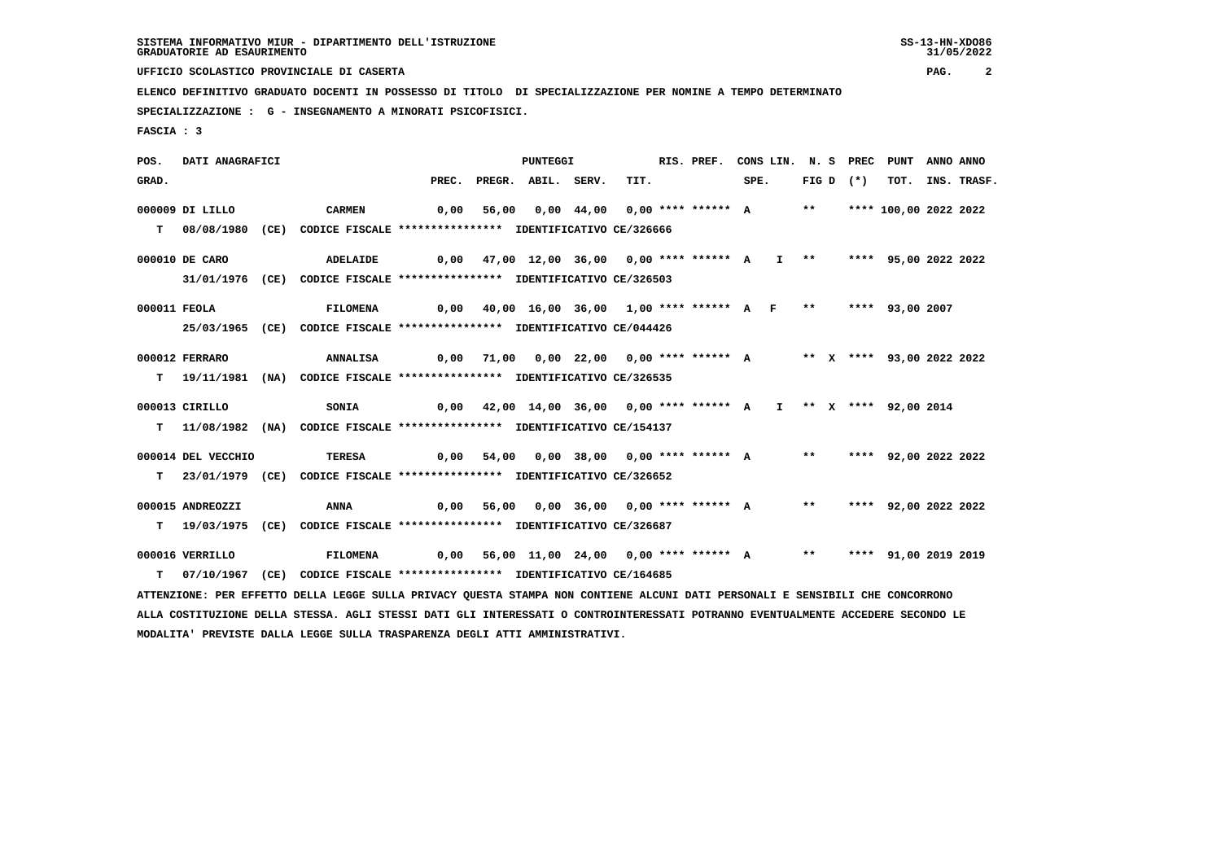**UFFICIO SCOLASTICO PROVINCIALE DI CASERTA PAG. 2**

 **ELENCO DEFINITIVO GRADUATO DOCENTI IN POSSESSO DI TITOLO DI SPECIALIZZAZIONE PER NOMINE A TEMPO DETERMINATO**

 **SPECIALIZZAZIONE : G - INSEGNAMENTO A MINORATI PSICOFISICI.**

 **FASCIA : 3**

 **POS. DATI ANAGRAFICI PUNTEGGI RIS. PREF. CONS LIN. N. S PREC PUNT ANNO ANNO**GRAD. PREC. PREGR. ABIL. SERV. TIT. SPE. FIG D (\*) TOT. INS. TRASF.  **000009 DI LILLO CARMEN 0,00 56,00 0,00 44,00 0,00 \*\*\*\* \*\*\*\*\*\* A \*\* \*\*\*\* 100,00 2022 2022 T 08/08/1980 (CE) CODICE FISCALE \*\*\*\*\*\*\*\*\*\*\*\*\*\*\*\* IDENTIFICATIVO CE/326666 000010 DE CARO ADELAIDE 0,00 47,00 12,00 36,00 0,00 \*\*\*\* \*\*\*\*\*\* A I \*\* \*\*\*\* 95,00 2022 2022 31/01/1976 (CE) CODICE FISCALE \*\*\*\*\*\*\*\*\*\*\*\*\*\*\*\* IDENTIFICATIVO CE/326503 000011 FEOLA FILOMENA 0,00 40,00 16,00 36,00 1,00 \*\*\*\* \*\*\*\*\*\* A F \*\* \*\*\*\* 93,00 2007 25/03/1965 (CE) CODICE FISCALE \*\*\*\*\*\*\*\*\*\*\*\*\*\*\*\* IDENTIFICATIVO CE/044426 000012 FERRARO ANNALISA 0,00 71,00 0,00 22,00 0,00 \*\*\*\* \*\*\*\*\*\* A \*\* X \*\*\*\* 93,00 2022 2022 T 19/11/1981 (NA) CODICE FISCALE \*\*\*\*\*\*\*\*\*\*\*\*\*\*\*\* IDENTIFICATIVO CE/326535 000013 CIRILLO SONIA 0,00 42,00 14,00 36,00 0,00 \*\*\*\* \*\*\*\*\*\* A I \*\* X \*\*\*\* 92,00 2014 T 11/08/1982 (NA) CODICE FISCALE \*\*\*\*\*\*\*\*\*\*\*\*\*\*\*\* IDENTIFICATIVO CE/154137 000014 DEL VECCHIO TERESA 0,00 54,00 0,00 38,00 0,00 \*\*\*\* \*\*\*\*\*\* A \*\* \*\*\*\* 92,00 2022 2022 T 23/01/1979 (CE) CODICE FISCALE \*\*\*\*\*\*\*\*\*\*\*\*\*\*\*\* IDENTIFICATIVO CE/326652 000015 ANDREOZZI ANNA 0,00 56,00 0,00 36,00 0,00 \*\*\*\* \*\*\*\*\*\* A \*\* \*\*\*\* 92,00 2022 2022 T 19/03/1975 (CE) CODICE FISCALE \*\*\*\*\*\*\*\*\*\*\*\*\*\*\*\* IDENTIFICATIVO CE/326687 000016 VERRILLO FILOMENA 0,00 56,00 11,00 24,00 0,00 \*\*\*\* \*\*\*\*\*\* A \*\* \*\*\*\* 91,00 2019 2019 T 07/10/1967 (CE) CODICE FISCALE \*\*\*\*\*\*\*\*\*\*\*\*\*\*\*\* IDENTIFICATIVO CE/164685 ATTENZIONE: PER EFFETTO DELLA LEGGE SULLA PRIVACY QUESTA STAMPA NON CONTIENE ALCUNI DATI PERSONALI E SENSIBILI CHE CONCORRONO ALLA COSTITUZIONE DELLA STESSA. AGLI STESSI DATI GLI INTERESSATI O CONTROINTERESSATI POTRANNO EVENTUALMENTE ACCEDERE SECONDO LE MODALITA' PREVISTE DALLA LEGGE SULLA TRASPARENZA DEGLI ATTI AMMINISTRATIVI.**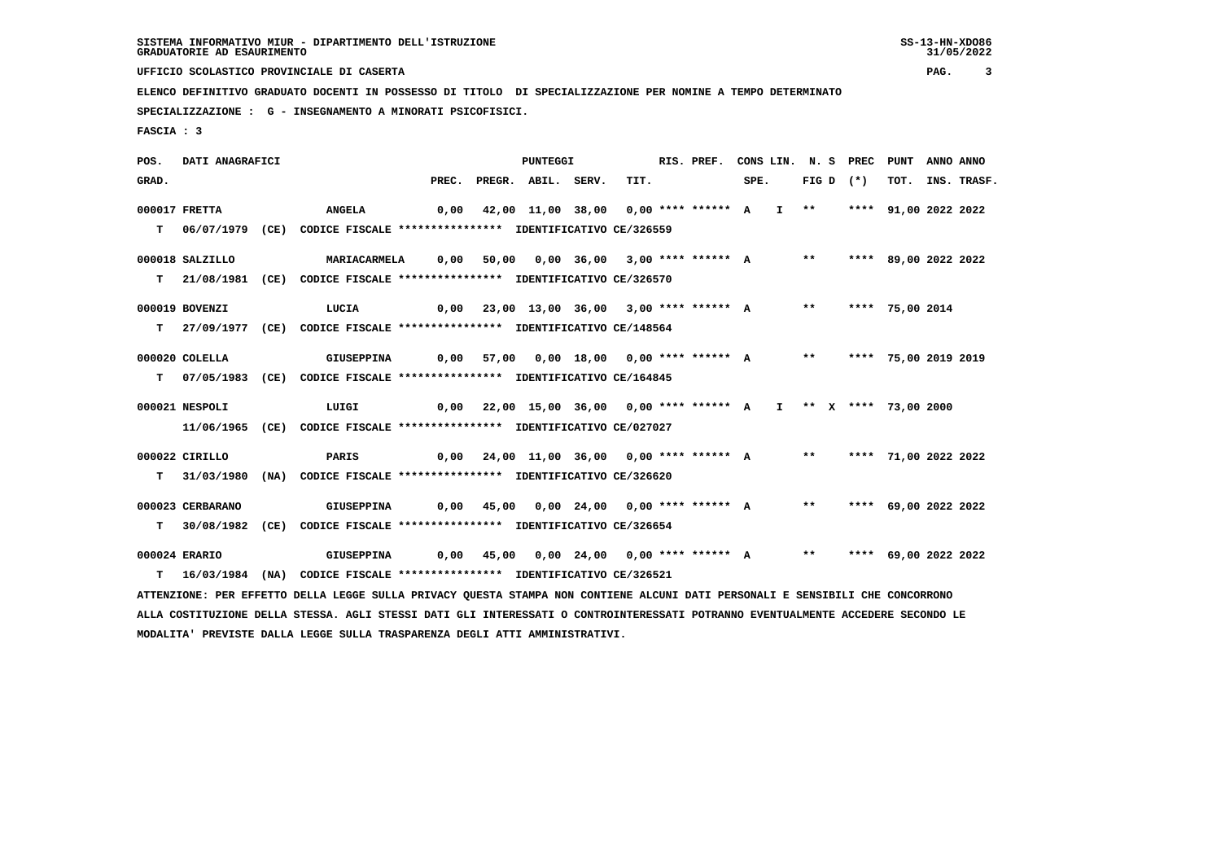**UFFICIO SCOLASTICO PROVINCIALE DI CASERTA PAG. 3**

 **ELENCO DEFINITIVO GRADUATO DOCENTI IN POSSESSO DI TITOLO DI SPECIALIZZAZIONE PER NOMINE A TEMPO DETERMINATO**

 **SPECIALIZZAZIONE : G - INSEGNAMENTO A MINORATI PSICOFISICI.**

 **FASCIA : 3**

 **POS. DATI ANAGRAFICI PUNTEGGI RIS. PREF. CONS LIN. N. S PREC PUNT ANNO ANNO**GRAD. PREC. PREGR. ABIL. SERV. TIT. SPE. FIG D (\*) TOT. INS. TRASF.  **000017 FRETTA ANGELA 0,00 42,00 11,00 38,00 0,00 \*\*\*\* \*\*\*\*\*\* A I \*\* \*\*\*\* 91,00 2022 2022 T 06/07/1979 (CE) CODICE FISCALE \*\*\*\*\*\*\*\*\*\*\*\*\*\*\*\* IDENTIFICATIVO CE/326559 000018 SALZILLO MARIACARMELA 0,00 50,00 0,00 36,00 3,00 \*\*\*\* \*\*\*\*\*\* A \*\* \*\*\*\* 89,00 2022 2022 T 21/08/1981 (CE) CODICE FISCALE \*\*\*\*\*\*\*\*\*\*\*\*\*\*\*\* IDENTIFICATIVO CE/326570 000019 BOVENZI LUCIA 0,00 23,00 13,00 36,00 3,00 \*\*\*\* \*\*\*\*\*\* A \*\* \*\*\*\* 75,00 2014 T 27/09/1977 (CE) CODICE FISCALE \*\*\*\*\*\*\*\*\*\*\*\*\*\*\*\* IDENTIFICATIVO CE/148564 000020 COLELLA GIUSEPPINA 0,00 57,00 0,00 18,00 0,00 \*\*\*\* \*\*\*\*\*\* A \*\* \*\*\*\* 75,00 2019 2019 T 07/05/1983 (CE) CODICE FISCALE \*\*\*\*\*\*\*\*\*\*\*\*\*\*\*\* IDENTIFICATIVO CE/164845 000021 NESPOLI LUIGI 0,00 22,00 15,00 36,00 0,00 \*\*\*\* \*\*\*\*\*\* A I \*\* X \*\*\*\* 73,00 2000 11/06/1965 (CE) CODICE FISCALE \*\*\*\*\*\*\*\*\*\*\*\*\*\*\*\* IDENTIFICATIVO CE/027027 000022 CIRILLO PARIS 0,00 24,00 11,00 36,00 0,00 \*\*\*\* \*\*\*\*\*\* A \*\* \*\*\*\* 71,00 2022 2022 T 31/03/1980 (NA) CODICE FISCALE \*\*\*\*\*\*\*\*\*\*\*\*\*\*\*\* IDENTIFICATIVO CE/326620 000023 CERBARANO GIUSEPPINA 0,00 45,00 0,00 24,00 0,00 \*\*\*\* \*\*\*\*\*\* A \*\* \*\*\*\* 69,00 2022 2022 T 30/08/1982 (CE) CODICE FISCALE \*\*\*\*\*\*\*\*\*\*\*\*\*\*\*\* IDENTIFICATIVO CE/326654 000024 ERARIO GIUSEPPINA 0,00 45,00 0,00 24,00 0,00 \*\*\*\* \*\*\*\*\*\* A \*\* \*\*\*\* 69,00 2022 2022 T 16/03/1984 (NA) CODICE FISCALE \*\*\*\*\*\*\*\*\*\*\*\*\*\*\*\* IDENTIFICATIVO CE/326521 ATTENZIONE: PER EFFETTO DELLA LEGGE SULLA PRIVACY QUESTA STAMPA NON CONTIENE ALCUNI DATI PERSONALI E SENSIBILI CHE CONCORRONO ALLA COSTITUZIONE DELLA STESSA. AGLI STESSI DATI GLI INTERESSATI O CONTROINTERESSATI POTRANNO EVENTUALMENTE ACCEDERE SECONDO LE MODALITA' PREVISTE DALLA LEGGE SULLA TRASPARENZA DEGLI ATTI AMMINISTRATIVI.**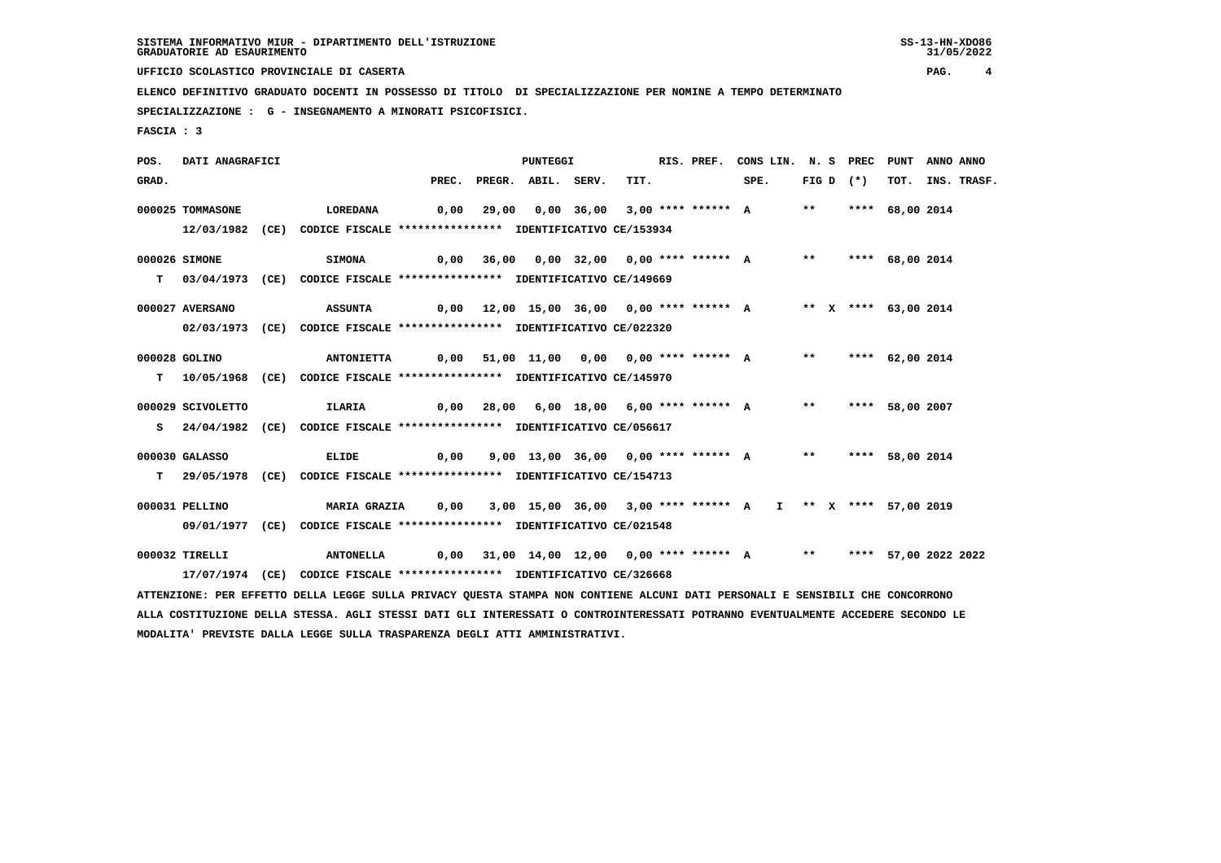**UFFICIO SCOLASTICO PROVINCIALE DI CASERTA PAG. 4**

 **ELENCO DEFINITIVO GRADUATO DOCENTI IN POSSESSO DI TITOLO DI SPECIALIZZAZIONE PER NOMINE A TEMPO DETERMINATO**

 **SPECIALIZZAZIONE : G - INSEGNAMENTO A MINORATI PSICOFISICI.**

 **FASCIA : 3**

 **POS. DATI ANAGRAFICI PUNTEGGI RIS. PREF. CONS LIN. N. S PREC PUNT ANNO ANNO**GRAD. PREC. PREGR. ABIL. SERV. TIT. SPE. FIG D (\*) TOT. INS. TRASF.  **000025 TOMMASONE LOREDANA 0,00 29,00 0,00 36,00 3,00 \*\*\*\* \*\*\*\*\*\* A \*\* \*\*\*\* 68,00 2014 12/03/1982 (CE) CODICE FISCALE \*\*\*\*\*\*\*\*\*\*\*\*\*\*\*\* IDENTIFICATIVO CE/153934 000026 SIMONE SIMONA 0,00 36,00 0,00 32,00 0,00 \*\*\*\* \*\*\*\*\*\* A \*\* \*\*\*\* 68,00 2014 T 03/04/1973 (CE) CODICE FISCALE \*\*\*\*\*\*\*\*\*\*\*\*\*\*\*\* IDENTIFICATIVO CE/149669 000027 AVERSANO ASSUNTA 0,00 12,00 15,00 36,00 0,00 \*\*\*\* \*\*\*\*\*\* A \*\* X \*\*\*\* 63,00 2014 02/03/1973 (CE) CODICE FISCALE \*\*\*\*\*\*\*\*\*\*\*\*\*\*\*\* IDENTIFICATIVO CE/022320 000028 GOLINO ANTONIETTA 0,00 51,00 11,00 0,00 0,00 \*\*\*\* \*\*\*\*\*\* A \*\* \*\*\*\* 62,00 2014 T 10/05/1968 (CE) CODICE FISCALE \*\*\*\*\*\*\*\*\*\*\*\*\*\*\*\* IDENTIFICATIVO CE/145970 000029 SCIVOLETTO ILARIA 0,00 28,00 6,00 18,00 6,00 \*\*\*\* \*\*\*\*\*\* A \*\* \*\*\*\* 58,00 2007 S 24/04/1982 (CE) CODICE FISCALE \*\*\*\*\*\*\*\*\*\*\*\*\*\*\*\* IDENTIFICATIVO CE/056617 000030 GALASSO ELIDE 0,00 9,00 13,00 36,00 0,00 \*\*\*\* \*\*\*\*\*\* A \*\* \*\*\*\* 58,00 2014 T 29/05/1978 (CE) CODICE FISCALE \*\*\*\*\*\*\*\*\*\*\*\*\*\*\*\* IDENTIFICATIVO CE/154713 000031 PELLINO MARIA GRAZIA 0,00 3,00 15,00 36,00 3,00 \*\*\*\* \*\*\*\*\*\* A I \*\* X \*\*\*\* 57,00 2019 09/01/1977 (CE) CODICE FISCALE \*\*\*\*\*\*\*\*\*\*\*\*\*\*\*\* IDENTIFICATIVO CE/021548 000032 TIRELLI ANTONELLA 0,00 31,00 14,00 12,00 0,00 \*\*\*\* \*\*\*\*\*\* A \*\* \*\*\*\* 57,00 2022 2022 17/07/1974 (CE) CODICE FISCALE \*\*\*\*\*\*\*\*\*\*\*\*\*\*\*\* IDENTIFICATIVO CE/326668 ATTENZIONE: PER EFFETTO DELLA LEGGE SULLA PRIVACY QUESTA STAMPA NON CONTIENE ALCUNI DATI PERSONALI E SENSIBILI CHE CONCORRONO ALLA COSTITUZIONE DELLA STESSA. AGLI STESSI DATI GLI INTERESSATI O CONTROINTERESSATI POTRANNO EVENTUALMENTE ACCEDERE SECONDO LE MODALITA' PREVISTE DALLA LEGGE SULLA TRASPARENZA DEGLI ATTI AMMINISTRATIVI.**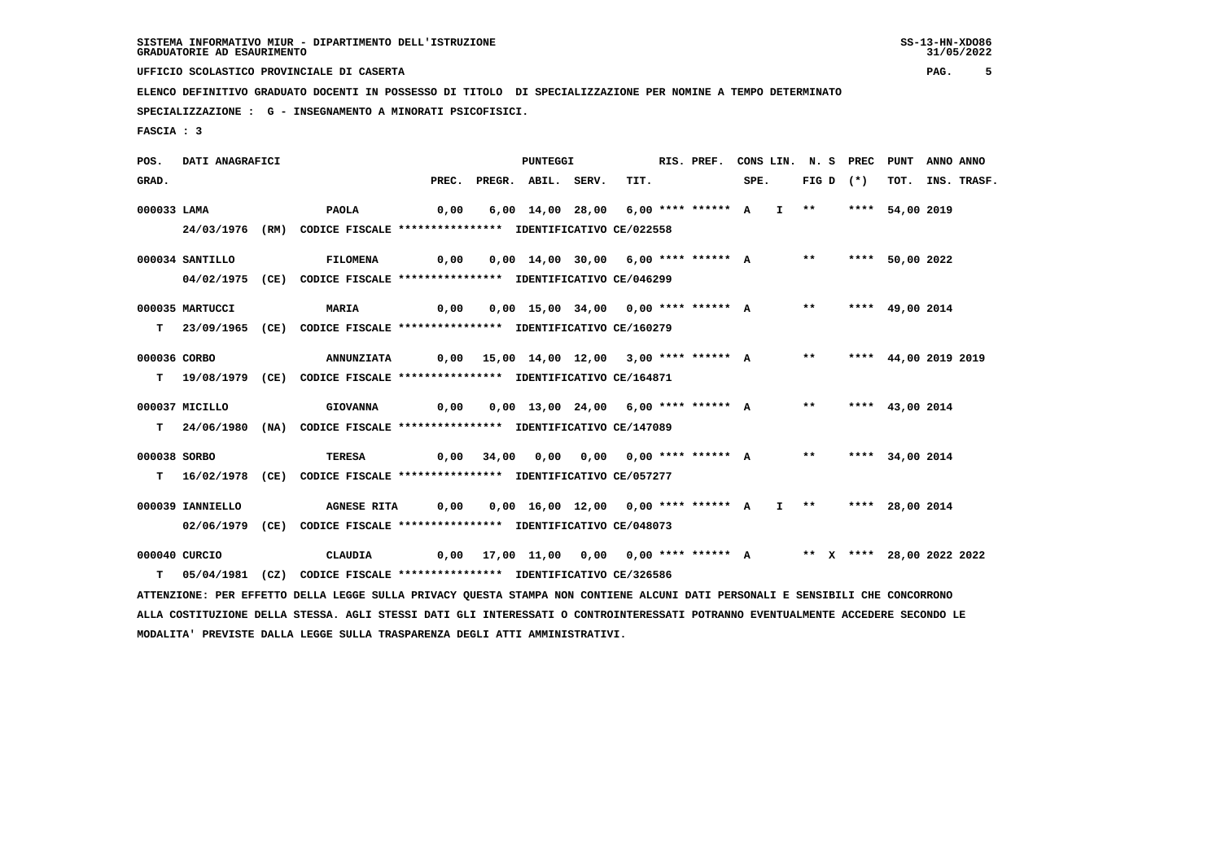**UFFICIO SCOLASTICO PROVINCIALE DI CASERTA PAG. 5**

 **ELENCO DEFINITIVO GRADUATO DOCENTI IN POSSESSO DI TITOLO DI SPECIALIZZAZIONE PER NOMINE A TEMPO DETERMINATO**

 **SPECIALIZZAZIONE : G - INSEGNAMENTO A MINORATI PSICOFISICI.**

 **FASCIA : 3**

 **POS. DATI ANAGRAFICI PUNTEGGI RIS. PREF. CONS LIN. N. S PREC PUNT ANNO ANNO**GRAD. PREC. PREGR. ABIL. SERV. TIT. SPE. FIG D (\*) TOT. INS. TRASF.  **000033 LAMA PAOLA 0,00 6,00 14,00 28,00 6,00 \*\*\*\* \*\*\*\*\*\* A I \*\* \*\*\*\* 54,00 2019 24/03/1976 (RM) CODICE FISCALE \*\*\*\*\*\*\*\*\*\*\*\*\*\*\*\* IDENTIFICATIVO CE/022558 000034 SANTILLO FILOMENA 0,00 0,00 14,00 30,00 6,00 \*\*\*\* \*\*\*\*\*\* A \*\* \*\*\*\* 50,00 2022 04/02/1975 (CE) CODICE FISCALE \*\*\*\*\*\*\*\*\*\*\*\*\*\*\*\* IDENTIFICATIVO CE/046299 000035 MARTUCCI MARIA 0,00 0,00 15,00 34,00 0,00 \*\*\*\* \*\*\*\*\*\* A \*\* \*\*\*\* 49,00 2014 T 23/09/1965 (CE) CODICE FISCALE \*\*\*\*\*\*\*\*\*\*\*\*\*\*\*\* IDENTIFICATIVO CE/160279 000036 CORBO ANNUNZIATA 0,00 15,00 14,00 12,00 3,00 \*\*\*\* \*\*\*\*\*\* A \*\* \*\*\*\* 44,00 2019 2019 T 19/08/1979 (CE) CODICE FISCALE \*\*\*\*\*\*\*\*\*\*\*\*\*\*\*\* IDENTIFICATIVO CE/164871 000037 MICILLO GIOVANNA 0,00 0,00 13,00 24,00 6,00 \*\*\*\* \*\*\*\*\*\* A \*\* \*\*\*\* 43,00 2014 T 24/06/1980 (NA) CODICE FISCALE \*\*\*\*\*\*\*\*\*\*\*\*\*\*\*\* IDENTIFICATIVO CE/147089 000038 SORBO TERESA 0,00 34,00 0,00 0,00 0,00 \*\*\*\* \*\*\*\*\*\* A \*\* \*\*\*\* 34,00 2014 T 16/02/1978 (CE) CODICE FISCALE \*\*\*\*\*\*\*\*\*\*\*\*\*\*\*\* IDENTIFICATIVO CE/057277 000039 IANNIELLO AGNESE RITA 0,00 0,00 16,00 12,00 0,00 \*\*\*\* \*\*\*\*\*\* A I \*\* \*\*\*\* 28,00 2014 02/06/1979 (CE) CODICE FISCALE \*\*\*\*\*\*\*\*\*\*\*\*\*\*\*\* IDENTIFICATIVO CE/048073 000040 CURCIO CLAUDIA 0,00 17,00 11,00 0,00 0,00 \*\*\*\* \*\*\*\*\*\* A \*\* X \*\*\*\* 28,00 2022 2022 T 05/04/1981 (CZ) CODICE FISCALE \*\*\*\*\*\*\*\*\*\*\*\*\*\*\*\* IDENTIFICATIVO CE/326586 ATTENZIONE: PER EFFETTO DELLA LEGGE SULLA PRIVACY QUESTA STAMPA NON CONTIENE ALCUNI DATI PERSONALI E SENSIBILI CHE CONCORRONO ALLA COSTITUZIONE DELLA STESSA. AGLI STESSI DATI GLI INTERESSATI O CONTROINTERESSATI POTRANNO EVENTUALMENTE ACCEDERE SECONDO LE MODALITA' PREVISTE DALLA LEGGE SULLA TRASPARENZA DEGLI ATTI AMMINISTRATIVI.**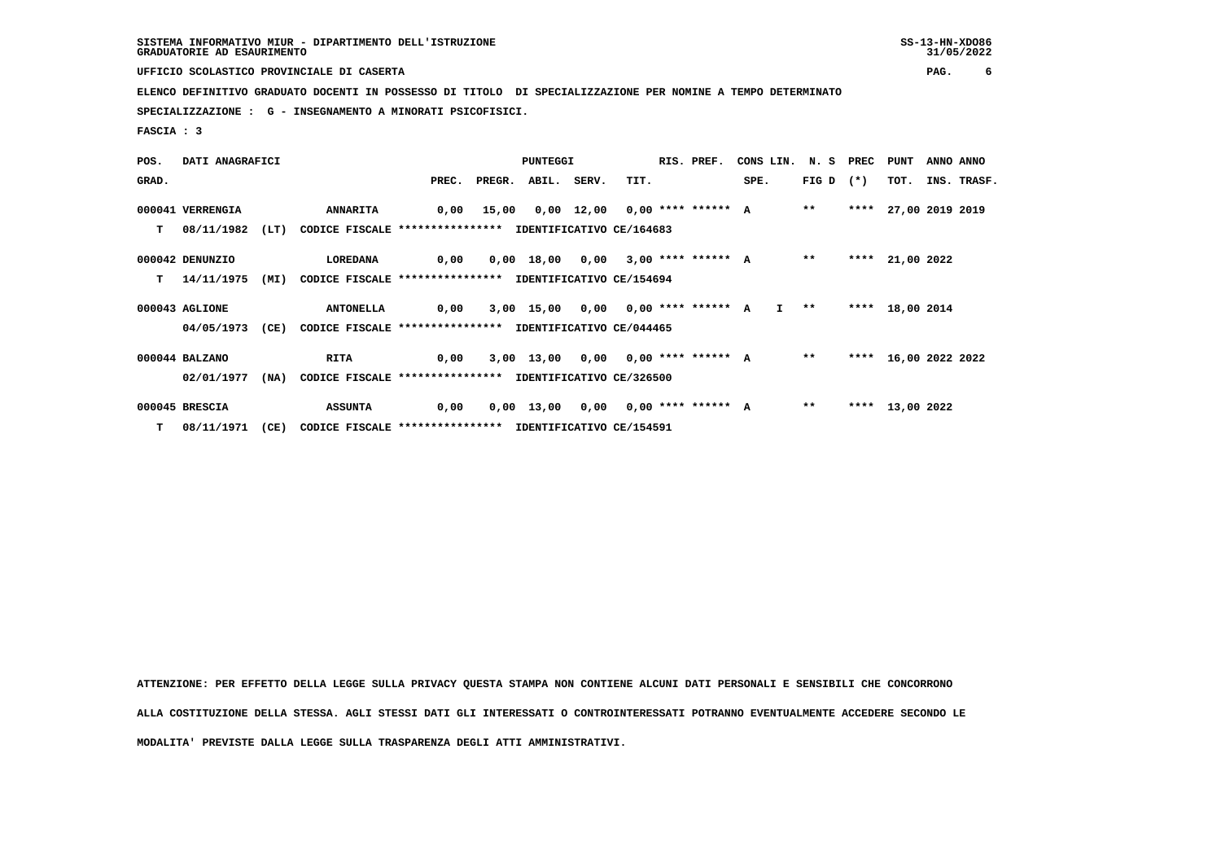**UFFICIO SCOLASTICO PROVINCIALE DI CASERTA PAG. 6**

 **ELENCO DEFINITIVO GRADUATO DOCENTI IN POSSESSO DI TITOLO DI SPECIALIZZAZIONE PER NOMINE A TEMPO DETERMINATO**

 **SPECIALIZZAZIONE : G - INSEGNAMENTO A MINORATI PSICOFISICI.**

 **FASCIA : 3**

| POS.  | DATI ANAGRAFICI  |      |                                                               |       | PUNTEGGI |                    |  |      |  | RIS. PREF. | CONS LIN. N. S PREC PUNT                 |             |      |                      | ANNO ANNO |             |
|-------|------------------|------|---------------------------------------------------------------|-------|----------|--------------------|--|------|--|------------|------------------------------------------|-------------|------|----------------------|-----------|-------------|
| GRAD. |                  |      |                                                               | PREC. |          | PREGR. ABIL. SERV. |  | TIT. |  |            | SPE.                                     | FIG D $(*)$ |      | тот.                 |           | INS. TRASF. |
|       | 000041 VERRENGIA |      | <b>ANNARITA</b>                                               |       |          |                    |  |      |  |            | 0,00 15,00 0,00 12,00 0,00 **** ****** A | $***$       |      | **** 27,00 2019 2019 |           |             |
| T.    | 08/11/1982       | (LT) | CODICE FISCALE **************** IDENTIFICATIVO CE/164683      |       |          |                    |  |      |  |            |                                          |             |      |                      |           |             |
|       | 000042 DENUNZIO  |      | LOREDANA                                                      | 0,00  |          |                    |  |      |  |            | 0,00 18,00 0,00 3,00 **** ****** A       | $* *$       | **** | 21,00 2022           |           |             |
| T.    | 14/11/1975       |      | (MI) CODICE FISCALE **************** IDENTIFICATIVO CE/154694 |       |          |                    |  |      |  |            |                                          |             |      |                      |           |             |
|       | 000043 AGLIONE   |      | <b>ANTONELLA</b>                                              | 0,00  |          |                    |  |      |  |            | 3,00 15,00 0,00 0,00 **** ****** A I **  |             |      | **** 18,00 2014      |           |             |
|       | 04/05/1973       | (CE) | CODICE FISCALE **************** IDENTIFICATIVO CE/044465      |       |          |                    |  |      |  |            |                                          |             |      |                      |           |             |
|       | 000044 BALZANO   |      | <b>RITA</b>                                                   | 0,00  |          |                    |  |      |  |            | 3,00 13,00 0,00 0,00 **** ****** A       | $***$       |      | **** 16,00 2022 2022 |           |             |
|       | 02/01/1977       | (NA) | CODICE FISCALE **************** IDENTIFICATIVO CE/326500      |       |          |                    |  |      |  |            |                                          |             |      |                      |           |             |
|       | 000045 BRESCIA   |      | <b>ASSUNTA</b>                                                | 0,00  |          |                    |  |      |  |            | 0,00 13,00 0,00 0,00 **** ****** A       | $***$       |      | **** 13,00 2022      |           |             |
|       | $T = 08/11/1971$ | (CE) | CODICE FISCALE **************** IDENTIFICATIVO CE/154591      |       |          |                    |  |      |  |            |                                          |             |      |                      |           |             |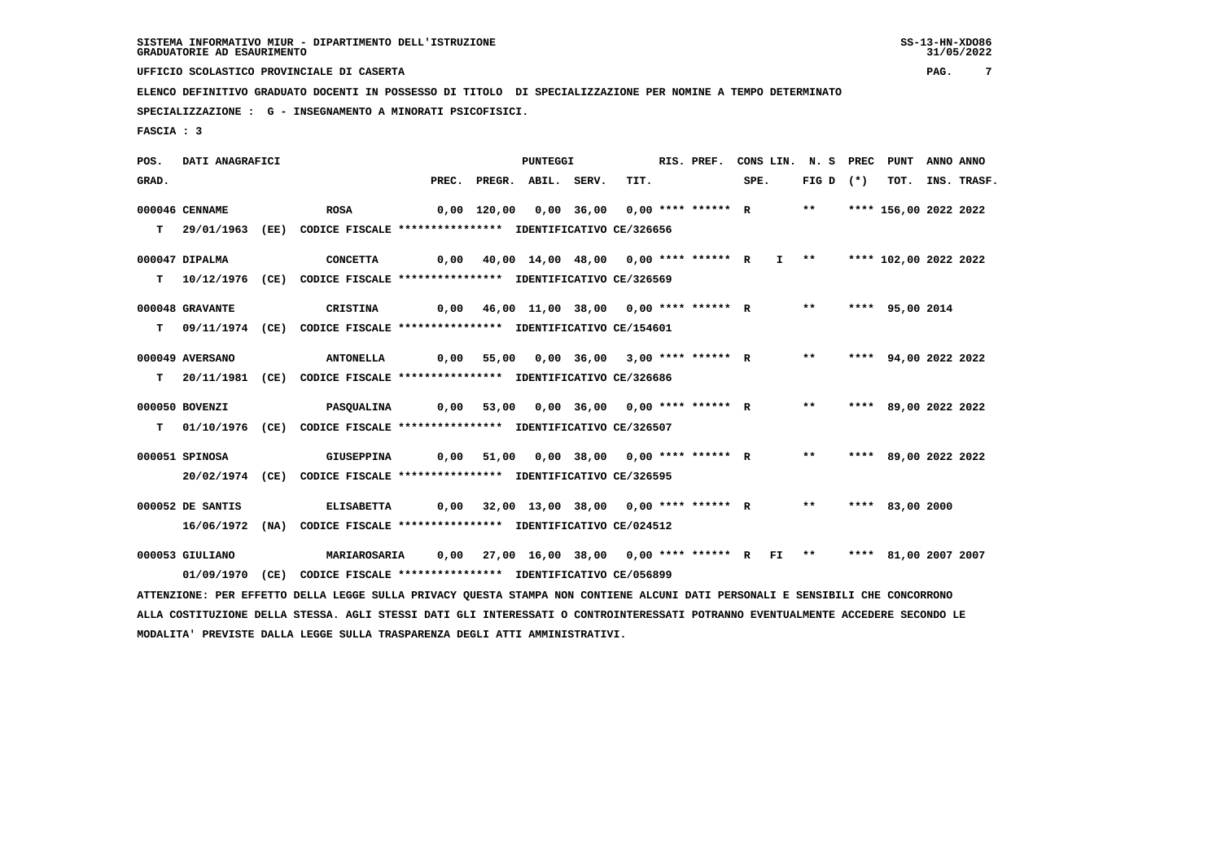**UFFICIO SCOLASTICO PROVINCIALE DI CASERTA PAG. 7**

 **ELENCO DEFINITIVO GRADUATO DOCENTI IN POSSESSO DI TITOLO DI SPECIALIZZAZIONE PER NOMINE A TEMPO DETERMINATO**

 **SPECIALIZZAZIONE : G - INSEGNAMENTO A MINORATI PSICOFISICI.**

 **FASCIA : 3**

 **POS. DATI ANAGRAFICI PUNTEGGI RIS. PREF. CONS LIN. N. S PREC PUNT ANNO ANNO**GRAD. PREC. PREGR. ABIL. SERV. TIT. SPE. FIG D (\*) TOT. INS. TRASF.  **000046 CENNAME ROSA 0,00 120,00 0,00 36,00 0,00 \*\*\*\* \*\*\*\*\*\* R \*\* \*\*\*\* 156,00 2022 2022 T 29/01/1963 (EE) CODICE FISCALE \*\*\*\*\*\*\*\*\*\*\*\*\*\*\*\* IDENTIFICATIVO CE/326656 000047 DIPALMA CONCETTA 0,00 40,00 14,00 48,00 0,00 \*\*\*\* \*\*\*\*\*\* R I \*\* \*\*\*\* 102,00 2022 2022 T 10/12/1976 (CE) CODICE FISCALE \*\*\*\*\*\*\*\*\*\*\*\*\*\*\*\* IDENTIFICATIVO CE/326569 000048 GRAVANTE CRISTINA 0,00 46,00 11,00 38,00 0,00 \*\*\*\* \*\*\*\*\*\* R \*\* \*\*\*\* 95,00 2014 T 09/11/1974 (CE) CODICE FISCALE \*\*\*\*\*\*\*\*\*\*\*\*\*\*\*\* IDENTIFICATIVO CE/154601 000049 AVERSANO ANTONELLA 0,00 55,00 0,00 36,00 3,00 \*\*\*\* \*\*\*\*\*\* R \*\* \*\*\*\* 94,00 2022 2022 T 20/11/1981 (CE) CODICE FISCALE \*\*\*\*\*\*\*\*\*\*\*\*\*\*\*\* IDENTIFICATIVO CE/326686 000050 BOVENZI PASQUALINA 0,00 53,00 0,00 36,00 0,00 \*\*\*\* \*\*\*\*\*\* R \*\* \*\*\*\* 89,00 2022 2022 T 01/10/1976 (CE) CODICE FISCALE \*\*\*\*\*\*\*\*\*\*\*\*\*\*\*\* IDENTIFICATIVO CE/326507 000051 SPINOSA GIUSEPPINA 0,00 51,00 0,00 38,00 0,00 \*\*\*\* \*\*\*\*\*\* R \*\* \*\*\*\* 89,00 2022 2022 20/02/1974 (CE) CODICE FISCALE \*\*\*\*\*\*\*\*\*\*\*\*\*\*\*\* IDENTIFICATIVO CE/326595 000052 DE SANTIS ELISABETTA 0,00 32,00 13,00 38,00 0,00 \*\*\*\* \*\*\*\*\*\* R \*\* \*\*\*\* 83,00 2000 16/06/1972 (NA) CODICE FISCALE \*\*\*\*\*\*\*\*\*\*\*\*\*\*\*\* IDENTIFICATIVO CE/024512 000053 GIULIANO MARIAROSARIA 0,00 27,00 16,00 38,00 0,00 \*\*\*\* \*\*\*\*\*\* R FI \*\* \*\*\*\* 81,00 2007 2007 01/09/1970 (CE) CODICE FISCALE \*\*\*\*\*\*\*\*\*\*\*\*\*\*\*\* IDENTIFICATIVO CE/056899 ATTENZIONE: PER EFFETTO DELLA LEGGE SULLA PRIVACY QUESTA STAMPA NON CONTIENE ALCUNI DATI PERSONALI E SENSIBILI CHE CONCORRONO ALLA COSTITUZIONE DELLA STESSA. AGLI STESSI DATI GLI INTERESSATI O CONTROINTERESSATI POTRANNO EVENTUALMENTE ACCEDERE SECONDO LE MODALITA' PREVISTE DALLA LEGGE SULLA TRASPARENZA DEGLI ATTI AMMINISTRATIVI.**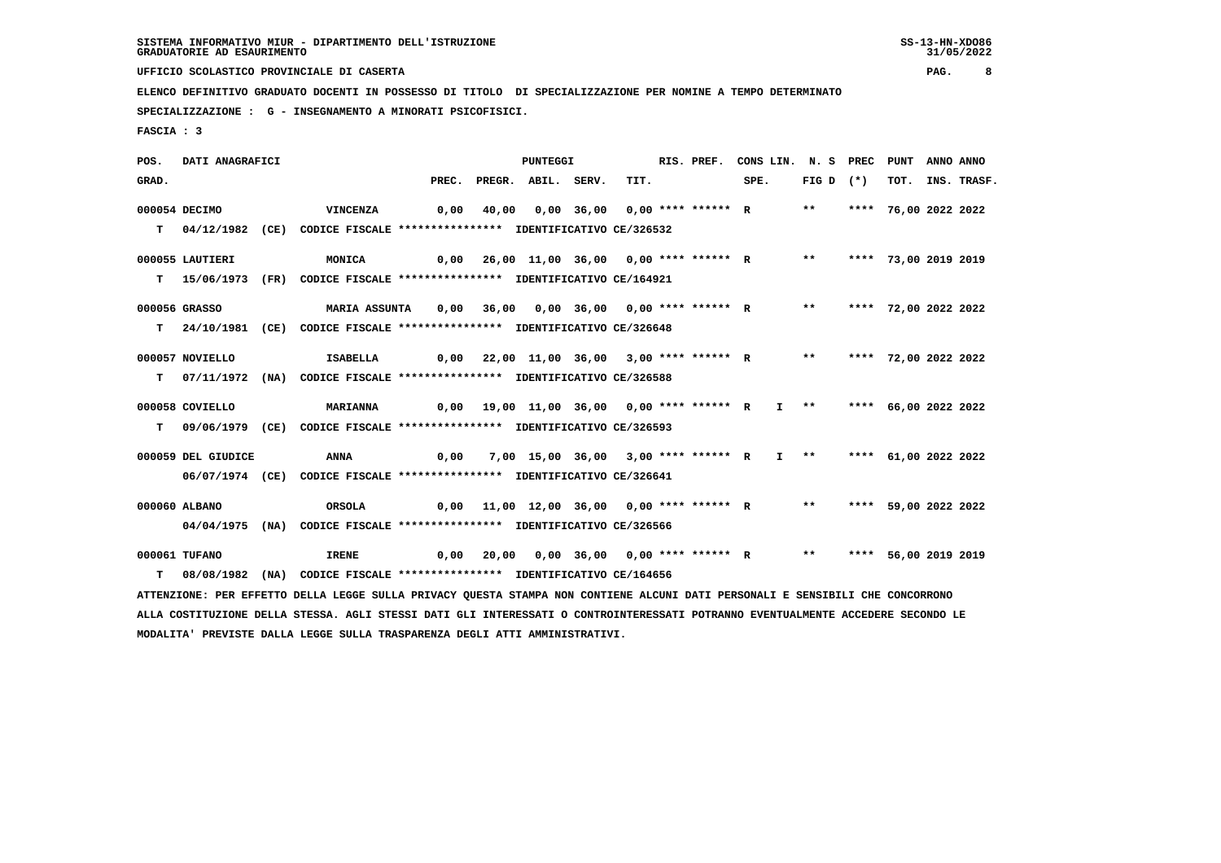**UFFICIO SCOLASTICO PROVINCIALE DI CASERTA PAG. 8**

 **ELENCO DEFINITIVO GRADUATO DOCENTI IN POSSESSO DI TITOLO DI SPECIALIZZAZIONE PER NOMINE A TEMPO DETERMINATO**

 **SPECIALIZZAZIONE : G - INSEGNAMENTO A MINORATI PSICOFISICI.**

 **FASCIA : 3**

 **POS. DATI ANAGRAFICI PUNTEGGI RIS. PREF. CONS LIN. N. S PREC PUNT ANNO ANNO**GRAD. PREC. PREGR. ABIL. SERV. TIT. SPE. FIG D (\*) TOT. INS. TRASF.  **000054 DECIMO VINCENZA 0,00 40,00 0,00 36,00 0,00 \*\*\*\* \*\*\*\*\*\* R \*\* \*\*\*\* 76,00 2022 2022 T 04/12/1982 (CE) CODICE FISCALE \*\*\*\*\*\*\*\*\*\*\*\*\*\*\*\* IDENTIFICATIVO CE/326532 000055 LAUTIERI MONICA 0,00 26,00 11,00 36,00 0,00 \*\*\*\* \*\*\*\*\*\* R \*\* \*\*\*\* 73,00 2019 2019 T 15/06/1973 (FR) CODICE FISCALE \*\*\*\*\*\*\*\*\*\*\*\*\*\*\*\* IDENTIFICATIVO CE/164921 000056 GRASSO MARIA ASSUNTA 0,00 36,00 0,00 36,00 0,00 \*\*\*\* \*\*\*\*\*\* R \*\* \*\*\*\* 72,00 2022 2022 T 24/10/1981 (CE) CODICE FISCALE \*\*\*\*\*\*\*\*\*\*\*\*\*\*\*\* IDENTIFICATIVO CE/326648 000057 NOVIELLO ISABELLA 0,00 22,00 11,00 36,00 3,00 \*\*\*\* \*\*\*\*\*\* R \*\* \*\*\*\* 72,00 2022 2022 T 07/11/1972 (NA) CODICE FISCALE \*\*\*\*\*\*\*\*\*\*\*\*\*\*\*\* IDENTIFICATIVO CE/326588 000058 COVIELLO MARIANNA 0,00 19,00 11,00 36,00 0,00 \*\*\*\* \*\*\*\*\*\* R I \*\* \*\*\*\* 66,00 2022 2022 T 09/06/1979 (CE) CODICE FISCALE \*\*\*\*\*\*\*\*\*\*\*\*\*\*\*\* IDENTIFICATIVO CE/326593 000059 DEL GIUDICE ANNA 0,00 7,00 15,00 36,00 3,00 \*\*\*\* \*\*\*\*\*\* R I \*\* \*\*\*\* 61,00 2022 2022 06/07/1974 (CE) CODICE FISCALE \*\*\*\*\*\*\*\*\*\*\*\*\*\*\*\* IDENTIFICATIVO CE/326641 000060 ALBANO ORSOLA 0,00 11,00 12,00 36,00 0,00 \*\*\*\* \*\*\*\*\*\* R \*\* \*\*\*\* 59,00 2022 2022 04/04/1975 (NA) CODICE FISCALE \*\*\*\*\*\*\*\*\*\*\*\*\*\*\*\* IDENTIFICATIVO CE/326566 000061 TUFANO IRENE 0,00 20,00 0,00 36,00 0,00 \*\*\*\* \*\*\*\*\*\* R \*\* \*\*\*\* 56,00 2019 2019 T 08/08/1982 (NA) CODICE FISCALE \*\*\*\*\*\*\*\*\*\*\*\*\*\*\*\* IDENTIFICATIVO CE/164656 ATTENZIONE: PER EFFETTO DELLA LEGGE SULLA PRIVACY QUESTA STAMPA NON CONTIENE ALCUNI DATI PERSONALI E SENSIBILI CHE CONCORRONO ALLA COSTITUZIONE DELLA STESSA. AGLI STESSI DATI GLI INTERESSATI O CONTROINTERESSATI POTRANNO EVENTUALMENTE ACCEDERE SECONDO LE MODALITA' PREVISTE DALLA LEGGE SULLA TRASPARENZA DEGLI ATTI AMMINISTRATIVI.**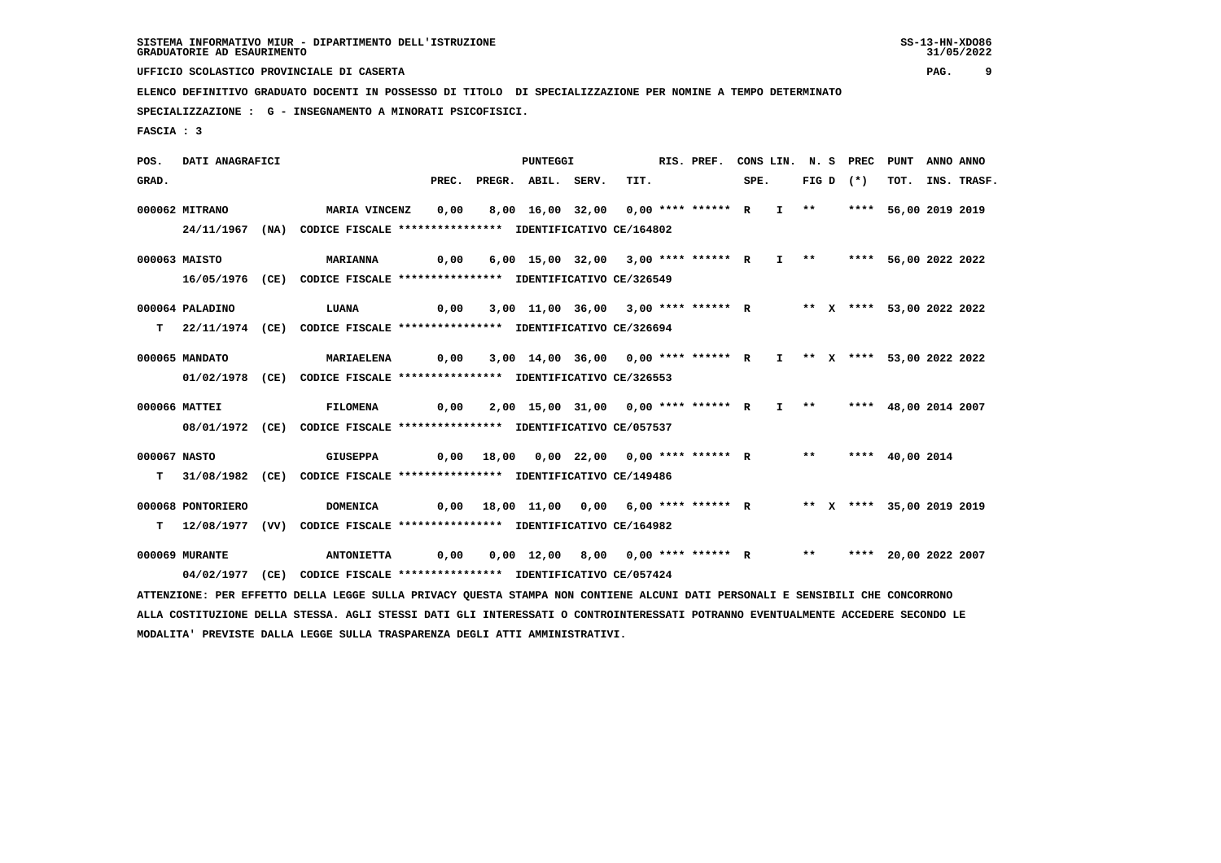**UFFICIO SCOLASTICO PROVINCIALE DI CASERTA PAG. 9**

 **ELENCO DEFINITIVO GRADUATO DOCENTI IN POSSESSO DI TITOLO DI SPECIALIZZAZIONE PER NOMINE A TEMPO DETERMINATO**

 **SPECIALIZZAZIONE : G - INSEGNAMENTO A MINORATI PSICOFISICI.**

 **FASCIA : 3**

 **POS. DATI ANAGRAFICI PUNTEGGI RIS. PREF. CONS LIN. N. S PREC PUNT ANNO ANNO**GRAD. PREC. PREGR. ABIL. SERV. TIT. SPE. FIG D (\*) TOT. INS. TRASF.  **000062 MITRANO MARIA VINCENZ 0,00 8,00 16,00 32,00 0,00 \*\*\*\* \*\*\*\*\*\* R I \*\* \*\*\*\* 56,00 2019 2019 24/11/1967 (NA) CODICE FISCALE \*\*\*\*\*\*\*\*\*\*\*\*\*\*\*\* IDENTIFICATIVO CE/164802 000063 MAISTO MARIANNA 0,00 6,00 15,00 32,00 3,00 \*\*\*\* \*\*\*\*\*\* R I \*\* \*\*\*\* 56,00 2022 2022 16/05/1976 (CE) CODICE FISCALE \*\*\*\*\*\*\*\*\*\*\*\*\*\*\*\* IDENTIFICATIVO CE/326549 000064 PALADINO LUANA 0,00 3,00 11,00 36,00 3,00 \*\*\*\* \*\*\*\*\*\* R \*\* X \*\*\*\* 53,00 2022 2022 T 22/11/1974 (CE) CODICE FISCALE \*\*\*\*\*\*\*\*\*\*\*\*\*\*\*\* IDENTIFICATIVO CE/326694 000065 MANDATO MARIAELENA 0,00 3,00 14,00 36,00 0,00 \*\*\*\* \*\*\*\*\*\* R I \*\* X \*\*\*\* 53,00 2022 2022 01/02/1978 (CE) CODICE FISCALE \*\*\*\*\*\*\*\*\*\*\*\*\*\*\*\* IDENTIFICATIVO CE/326553 000066 MATTEI FILOMENA 0,00 2,00 15,00 31,00 0,00 \*\*\*\* \*\*\*\*\*\* R I \*\* \*\*\*\* 48,00 2014 2007 08/01/1972 (CE) CODICE FISCALE \*\*\*\*\*\*\*\*\*\*\*\*\*\*\*\* IDENTIFICATIVO CE/057537 000067 NASTO GIUSEPPA 0,00 18,00 0,00 22,00 0,00 \*\*\*\* \*\*\*\*\*\* R \*\* \*\*\*\* 40,00 2014 T 31/08/1982 (CE) CODICE FISCALE \*\*\*\*\*\*\*\*\*\*\*\*\*\*\*\* IDENTIFICATIVO CE/149486 000068 PONTORIERO DOMENICA 0,00 18,00 11,00 0,00 6,00 \*\*\*\* \*\*\*\*\*\* R \*\* X \*\*\*\* 35,00 2019 2019 T 12/08/1977 (VV) CODICE FISCALE \*\*\*\*\*\*\*\*\*\*\*\*\*\*\*\* IDENTIFICATIVO CE/164982 000069 MURANTE ANTONIETTA 0,00 0,00 12,00 8,00 0,00 \*\*\*\* \*\*\*\*\*\* R \*\* \*\*\*\* 20,00 2022 2007 04/02/1977 (CE) CODICE FISCALE \*\*\*\*\*\*\*\*\*\*\*\*\*\*\*\* IDENTIFICATIVO CE/057424**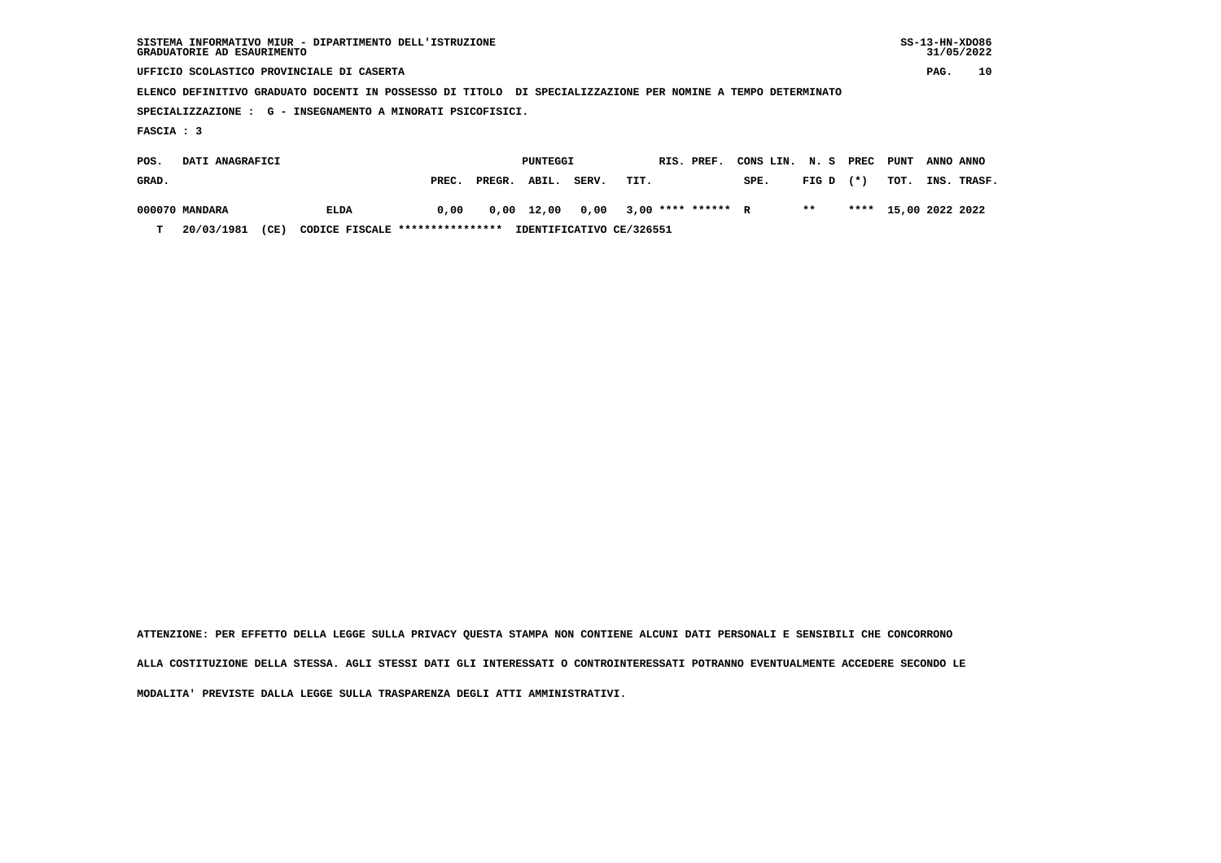| SISTEMA INFORMATIVO MIUR - DIPARTIMENTO DELL'ISTRUZIONE<br>GRADUATORIE AD ESAURIMENTO                       |       |                 |       |       |      |  |            |           |       |       |      | $SS-13-HN-XDO86$<br>31/05/2022 |        |  |  |
|-------------------------------------------------------------------------------------------------------------|-------|-----------------|-------|-------|------|--|------------|-----------|-------|-------|------|--------------------------------|--------|--|--|
| UFFICIO SCOLASTICO PROVINCIALE DI CASERTA                                                                   |       |                 |       |       |      |  |            |           |       |       |      | PAG.                           | 10     |  |  |
| ELENCO DEFINITIVO GRADUATO DOCENTI IN POSSESSO DI TITOLO DI SPECIALIZZAZIONE PER NOMINE A TEMPO DETERMINATO |       |                 |       |       |      |  |            |           |       |       |      |                                |        |  |  |
| SPECIALIZZAZIONE : G - INSEGNAMENTO A MINORATI PSICOFISICI.                                                 |       |                 |       |       |      |  |            |           |       |       |      |                                |        |  |  |
| FASCIA : 3                                                                                                  |       |                 |       |       |      |  |            |           |       |       |      |                                |        |  |  |
| DATI ANAGRAFICI<br>POS.                                                                                     |       | <b>PUNTEGGI</b> |       |       |      |  | RIS. PREF. | CONS LIN. | N. S  | PREC  | PUNT | ANNO ANNO                      |        |  |  |
| GRAD.                                                                                                       | PREC. | PREGR.          | ABIL. | SERV. | TIT. |  |            | SPE.      | FIG D | $(*)$ | TOT. | INS.                           | TRASF. |  |  |

 **000070 MANDARA ELDA 0,00 0,00 12,00 0,00 3,00 \*\*\*\* \*\*\*\*\*\* R \*\* \*\*\*\* 15,00 2022 2022 T 20/03/1981 (CE) CODICE FISCALE \*\*\*\*\*\*\*\*\*\*\*\*\*\*\*\* IDENTIFICATIVO CE/326551**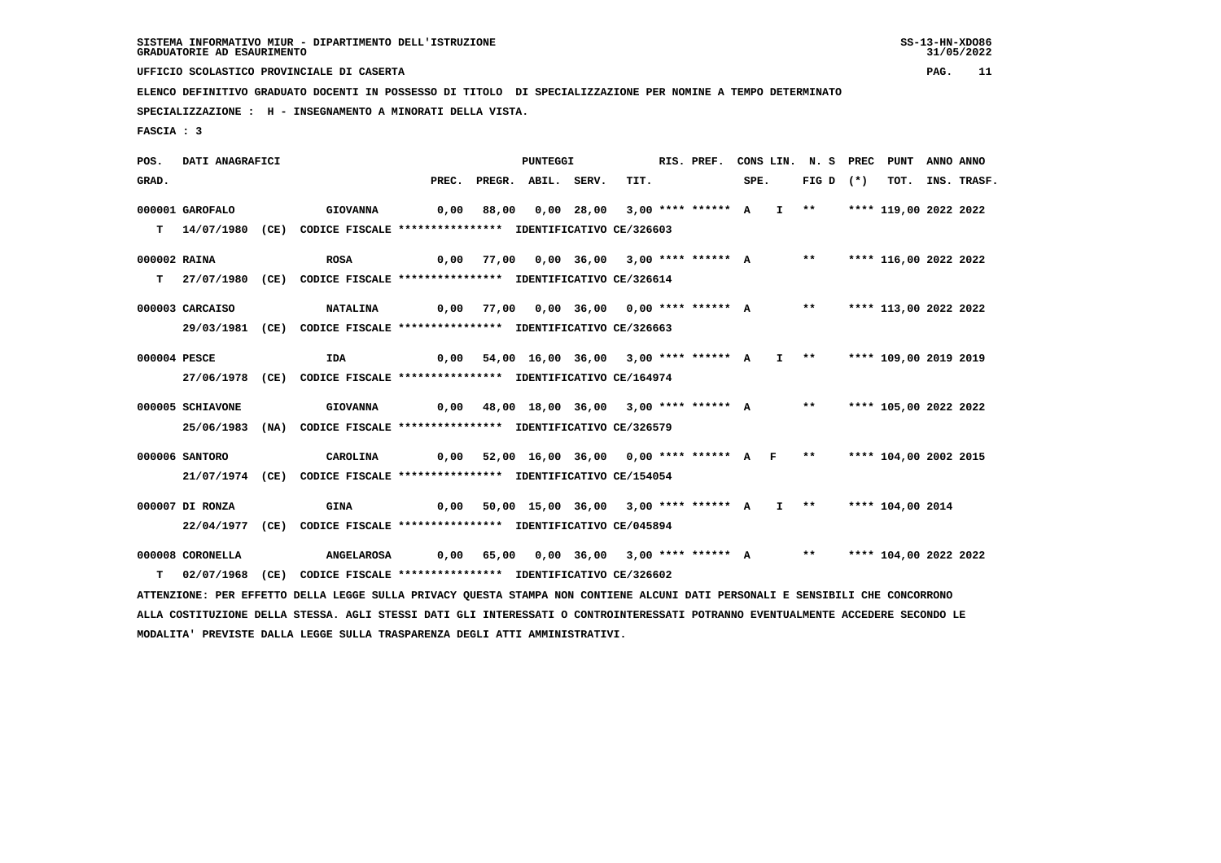**UFFICIO SCOLASTICO PROVINCIALE DI CASERTA PAG. 11**

 **ELENCO DEFINITIVO GRADUATO DOCENTI IN POSSESSO DI TITOLO DI SPECIALIZZAZIONE PER NOMINE A TEMPO DETERMINATO**

 **SPECIALIZZAZIONE : H - INSEGNAMENTO A MINORATI DELLA VISTA.**

 **FASCIA : 3**

 **POS. DATI ANAGRAFICI PUNTEGGI RIS. PREF. CONS LIN. N. S PREC PUNT ANNO ANNO**GRAD. PREC. PREGR. ABIL. SERV. TIT. SPE. FIG D (\*) TOT. INS. TRASF.  **000001 GAROFALO GIOVANNA 0,00 88,00 0,00 28,00 3,00 \*\*\*\* \*\*\*\*\*\* A I \*\* \*\*\*\* 119,00 2022 2022 T 14/07/1980 (CE) CODICE FISCALE \*\*\*\*\*\*\*\*\*\*\*\*\*\*\*\* IDENTIFICATIVO CE/326603 000002 RAINA ROSA 0,00 77,00 0,00 36,00 3,00 \*\*\*\* \*\*\*\*\*\* A \*\* \*\*\*\* 116,00 2022 2022 T 27/07/1980 (CE) CODICE FISCALE \*\*\*\*\*\*\*\*\*\*\*\*\*\*\*\* IDENTIFICATIVO CE/326614 000003 CARCAISO NATALINA 0,00 77,00 0,00 36,00 0,00 \*\*\*\* \*\*\*\*\*\* A \*\* \*\*\*\* 113,00 2022 2022 29/03/1981 (CE) CODICE FISCALE \*\*\*\*\*\*\*\*\*\*\*\*\*\*\*\* IDENTIFICATIVO CE/326663 000004 PESCE IDA 0,00 54,00 16,00 36,00 3,00 \*\*\*\* \*\*\*\*\*\* A I \*\* \*\*\*\* 109,00 2019 2019 27/06/1978 (CE) CODICE FISCALE \*\*\*\*\*\*\*\*\*\*\*\*\*\*\*\* IDENTIFICATIVO CE/164974 000005 SCHIAVONE GIOVANNA 0,00 48,00 18,00 36,00 3,00 \*\*\*\* \*\*\*\*\*\* A \*\* \*\*\*\* 105,00 2022 2022 25/06/1983 (NA) CODICE FISCALE \*\*\*\*\*\*\*\*\*\*\*\*\*\*\*\* IDENTIFICATIVO CE/326579 000006 SANTORO CAROLINA 0,00 52,00 16,00 36,00 0,00 \*\*\*\* \*\*\*\*\*\* A F \*\* \*\*\*\* 104,00 2002 2015 21/07/1974 (CE) CODICE FISCALE \*\*\*\*\*\*\*\*\*\*\*\*\*\*\*\* IDENTIFICATIVO CE/154054 000007 DI RONZA GINA 0,00 50,00 15,00 36,00 3,00 \*\*\*\* \*\*\*\*\*\* A I \*\* \*\*\*\* 104,00 2014 22/04/1977 (CE) CODICE FISCALE \*\*\*\*\*\*\*\*\*\*\*\*\*\*\*\* IDENTIFICATIVO CE/045894 000008 CORONELLA ANGELAROSA 0,00 65,00 0,00 36,00 3,00 \*\*\*\* \*\*\*\*\*\* A \*\* \*\*\*\* 104,00 2022 2022 T 02/07/1968 (CE) CODICE FISCALE \*\*\*\*\*\*\*\*\*\*\*\*\*\*\*\* IDENTIFICATIVO CE/326602 ATTENZIONE: PER EFFETTO DELLA LEGGE SULLA PRIVACY QUESTA STAMPA NON CONTIENE ALCUNI DATI PERSONALI E SENSIBILI CHE CONCORRONO ALLA COSTITUZIONE DELLA STESSA. AGLI STESSI DATI GLI INTERESSATI O CONTROINTERESSATI POTRANNO EVENTUALMENTE ACCEDERE SECONDO LE**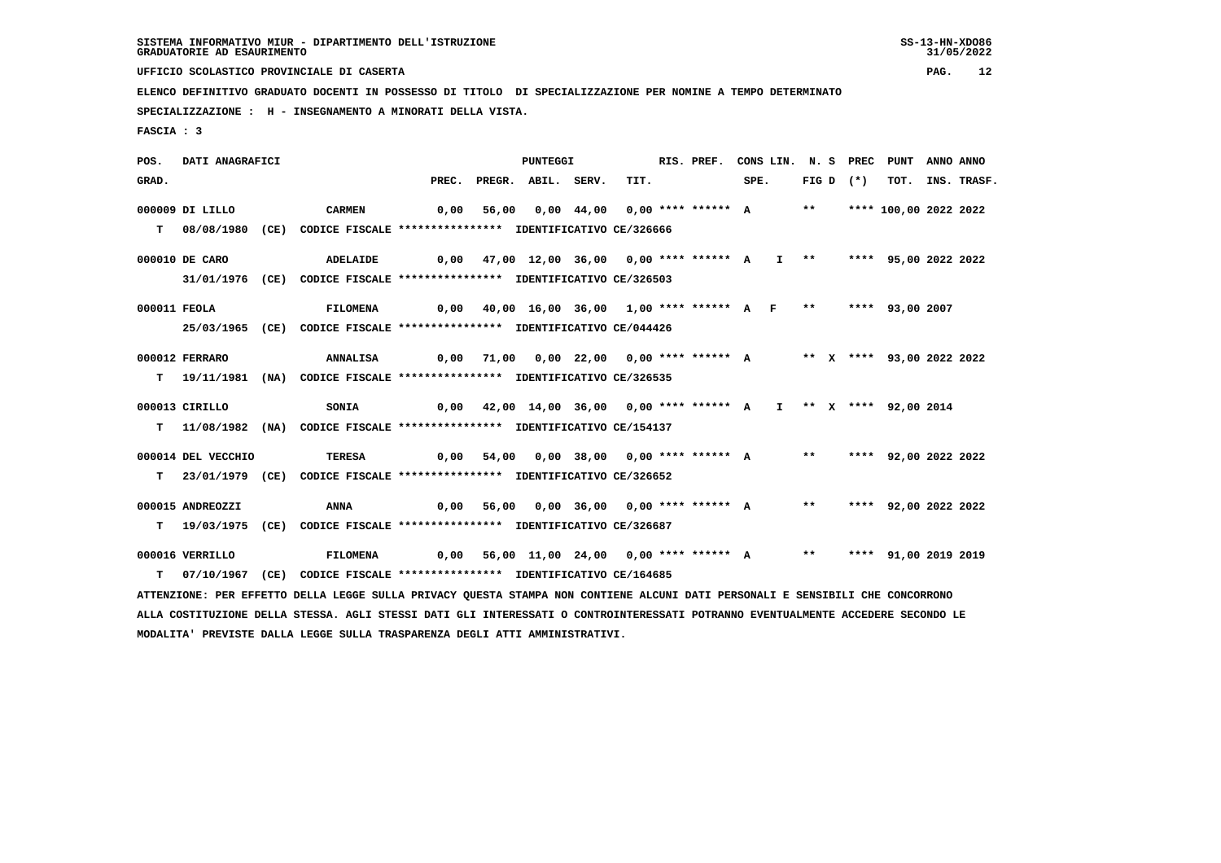**UFFICIO SCOLASTICO PROVINCIALE DI CASERTA PAG. 12**

 **ELENCO DEFINITIVO GRADUATO DOCENTI IN POSSESSO DI TITOLO DI SPECIALIZZAZIONE PER NOMINE A TEMPO DETERMINATO**

 **SPECIALIZZAZIONE : H - INSEGNAMENTO A MINORATI DELLA VISTA.**

 **FASCIA : 3**

 **POS. DATI ANAGRAFICI PUNTEGGI RIS. PREF. CONS LIN. N. S PREC PUNT ANNO ANNO**GRAD. PREC. PREGR. ABIL. SERV. TIT. SPE. FIG D (\*) TOT. INS. TRASF.  **000009 DI LILLO CARMEN 0,00 56,00 0,00 44,00 0,00 \*\*\*\* \*\*\*\*\*\* A \*\* \*\*\*\* 100,00 2022 2022 T 08/08/1980 (CE) CODICE FISCALE \*\*\*\*\*\*\*\*\*\*\*\*\*\*\*\* IDENTIFICATIVO CE/326666 000010 DE CARO ADELAIDE 0,00 47,00 12,00 36,00 0,00 \*\*\*\* \*\*\*\*\*\* A I \*\* \*\*\*\* 95,00 2022 2022 31/01/1976 (CE) CODICE FISCALE \*\*\*\*\*\*\*\*\*\*\*\*\*\*\*\* IDENTIFICATIVO CE/326503 000011 FEOLA FILOMENA 0,00 40,00 16,00 36,00 1,00 \*\*\*\* \*\*\*\*\*\* A F \*\* \*\*\*\* 93,00 2007 25/03/1965 (CE) CODICE FISCALE \*\*\*\*\*\*\*\*\*\*\*\*\*\*\*\* IDENTIFICATIVO CE/044426 000012 FERRARO ANNALISA 0,00 71,00 0,00 22,00 0,00 \*\*\*\* \*\*\*\*\*\* A \*\* X \*\*\*\* 93,00 2022 2022 T 19/11/1981 (NA) CODICE FISCALE \*\*\*\*\*\*\*\*\*\*\*\*\*\*\*\* IDENTIFICATIVO CE/326535 000013 CIRILLO SONIA 0,00 42,00 14,00 36,00 0,00 \*\*\*\* \*\*\*\*\*\* A I \*\* X \*\*\*\* 92,00 2014 T 11/08/1982 (NA) CODICE FISCALE \*\*\*\*\*\*\*\*\*\*\*\*\*\*\*\* IDENTIFICATIVO CE/154137 000014 DEL VECCHIO TERESA 0,00 54,00 0,00 38,00 0,00 \*\*\*\* \*\*\*\*\*\* A \*\* \*\*\*\* 92,00 2022 2022 T 23/01/1979 (CE) CODICE FISCALE \*\*\*\*\*\*\*\*\*\*\*\*\*\*\*\* IDENTIFICATIVO CE/326652 000015 ANDREOZZI ANNA 0,00 56,00 0,00 36,00 0,00 \*\*\*\* \*\*\*\*\*\* A \*\* \*\*\*\* 92,00 2022 2022 T 19/03/1975 (CE) CODICE FISCALE \*\*\*\*\*\*\*\*\*\*\*\*\*\*\*\* IDENTIFICATIVO CE/326687 000016 VERRILLO FILOMENA 0,00 56,00 11,00 24,00 0,00 \*\*\*\* \*\*\*\*\*\* A \*\* \*\*\*\* 91,00 2019 2019 T 07/10/1967 (CE) CODICE FISCALE \*\*\*\*\*\*\*\*\*\*\*\*\*\*\*\* IDENTIFICATIVO CE/164685 ATTENZIONE: PER EFFETTO DELLA LEGGE SULLA PRIVACY QUESTA STAMPA NON CONTIENE ALCUNI DATI PERSONALI E SENSIBILI CHE CONCORRONO ALLA COSTITUZIONE DELLA STESSA. AGLI STESSI DATI GLI INTERESSATI O CONTROINTERESSATI POTRANNO EVENTUALMENTE ACCEDERE SECONDO LE MODALITA' PREVISTE DALLA LEGGE SULLA TRASPARENZA DEGLI ATTI AMMINISTRATIVI.**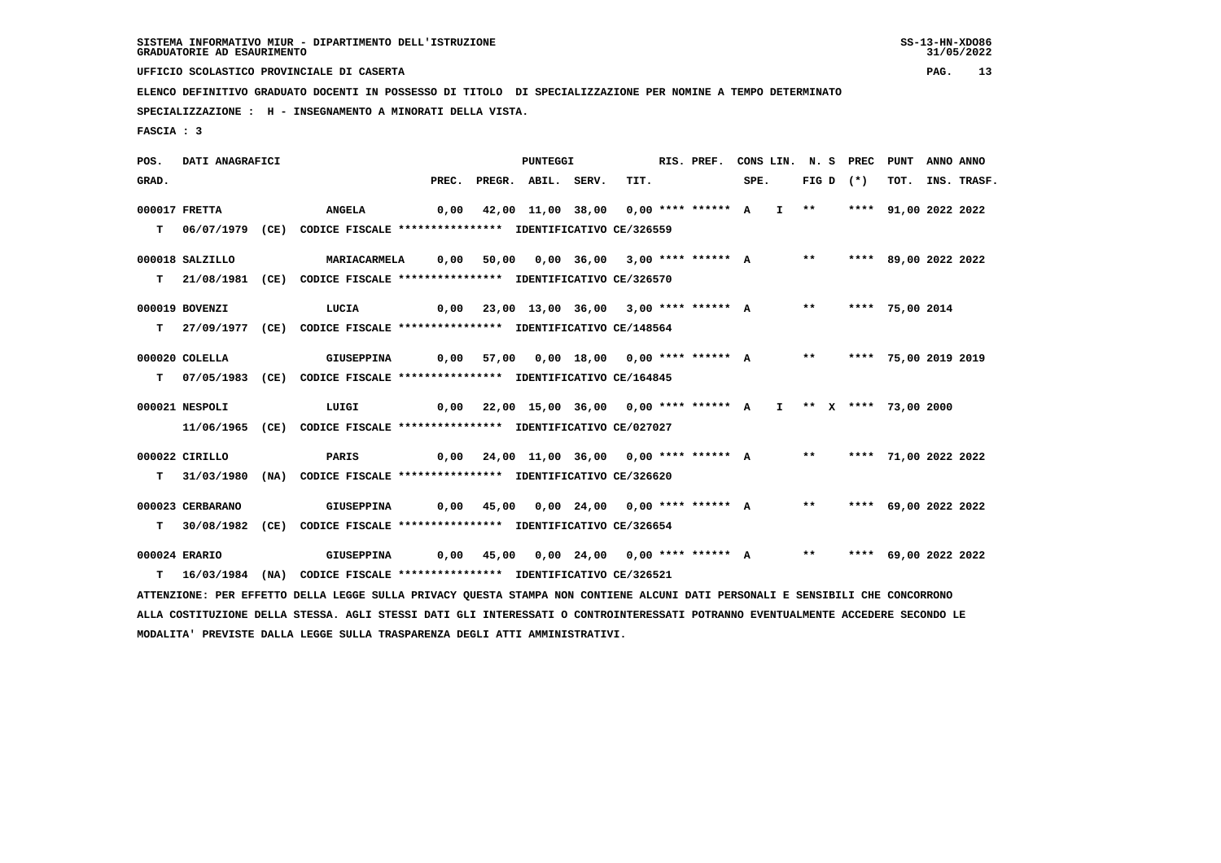**UFFICIO SCOLASTICO PROVINCIALE DI CASERTA PAG. 13**

 **ELENCO DEFINITIVO GRADUATO DOCENTI IN POSSESSO DI TITOLO DI SPECIALIZZAZIONE PER NOMINE A TEMPO DETERMINATO**

 **SPECIALIZZAZIONE : H - INSEGNAMENTO A MINORATI DELLA VISTA.**

 **FASCIA : 3**

 **POS. DATI ANAGRAFICI PUNTEGGI RIS. PREF. CONS LIN. N. S PREC PUNT ANNO ANNO**GRAD. PREC. PREGR. ABIL. SERV. TIT. SPE. FIG D (\*) TOT. INS. TRASF.  **000017 FRETTA ANGELA 0,00 42,00 11,00 38,00 0,00 \*\*\*\* \*\*\*\*\*\* A I \*\* \*\*\*\* 91,00 2022 2022 T 06/07/1979 (CE) CODICE FISCALE \*\*\*\*\*\*\*\*\*\*\*\*\*\*\*\* IDENTIFICATIVO CE/326559 000018 SALZILLO MARIACARMELA 0,00 50,00 0,00 36,00 3,00 \*\*\*\* \*\*\*\*\*\* A \*\* \*\*\*\* 89,00 2022 2022 T 21/08/1981 (CE) CODICE FISCALE \*\*\*\*\*\*\*\*\*\*\*\*\*\*\*\* IDENTIFICATIVO CE/326570 000019 BOVENZI LUCIA 0,00 23,00 13,00 36,00 3,00 \*\*\*\* \*\*\*\*\*\* A \*\* \*\*\*\* 75,00 2014 T 27/09/1977 (CE) CODICE FISCALE \*\*\*\*\*\*\*\*\*\*\*\*\*\*\*\* IDENTIFICATIVO CE/148564 000020 COLELLA GIUSEPPINA 0,00 57,00 0,00 18,00 0,00 \*\*\*\* \*\*\*\*\*\* A \*\* \*\*\*\* 75,00 2019 2019 T 07/05/1983 (CE) CODICE FISCALE \*\*\*\*\*\*\*\*\*\*\*\*\*\*\*\* IDENTIFICATIVO CE/164845 000021 NESPOLI LUIGI 0,00 22,00 15,00 36,00 0,00 \*\*\*\* \*\*\*\*\*\* A I \*\* X \*\*\*\* 73,00 2000 11/06/1965 (CE) CODICE FISCALE \*\*\*\*\*\*\*\*\*\*\*\*\*\*\*\* IDENTIFICATIVO CE/027027 000022 CIRILLO PARIS 0,00 24,00 11,00 36,00 0,00 \*\*\*\* \*\*\*\*\*\* A \*\* \*\*\*\* 71,00 2022 2022 T 31/03/1980 (NA) CODICE FISCALE \*\*\*\*\*\*\*\*\*\*\*\*\*\*\*\* IDENTIFICATIVO CE/326620 000023 CERBARANO GIUSEPPINA 0,00 45,00 0,00 24,00 0,00 \*\*\*\* \*\*\*\*\*\* A \*\* \*\*\*\* 69,00 2022 2022 T 30/08/1982 (CE) CODICE FISCALE \*\*\*\*\*\*\*\*\*\*\*\*\*\*\*\* IDENTIFICATIVO CE/326654 000024 ERARIO GIUSEPPINA 0,00 45,00 0,00 24,00 0,00 \*\*\*\* \*\*\*\*\*\* A \*\* \*\*\*\* 69,00 2022 2022 T 16/03/1984 (NA) CODICE FISCALE \*\*\*\*\*\*\*\*\*\*\*\*\*\*\*\* IDENTIFICATIVO CE/326521 ATTENZIONE: PER EFFETTO DELLA LEGGE SULLA PRIVACY QUESTA STAMPA NON CONTIENE ALCUNI DATI PERSONALI E SENSIBILI CHE CONCORRONO ALLA COSTITUZIONE DELLA STESSA. AGLI STESSI DATI GLI INTERESSATI O CONTROINTERESSATI POTRANNO EVENTUALMENTE ACCEDERE SECONDO LE MODALITA' PREVISTE DALLA LEGGE SULLA TRASPARENZA DEGLI ATTI AMMINISTRATIVI.**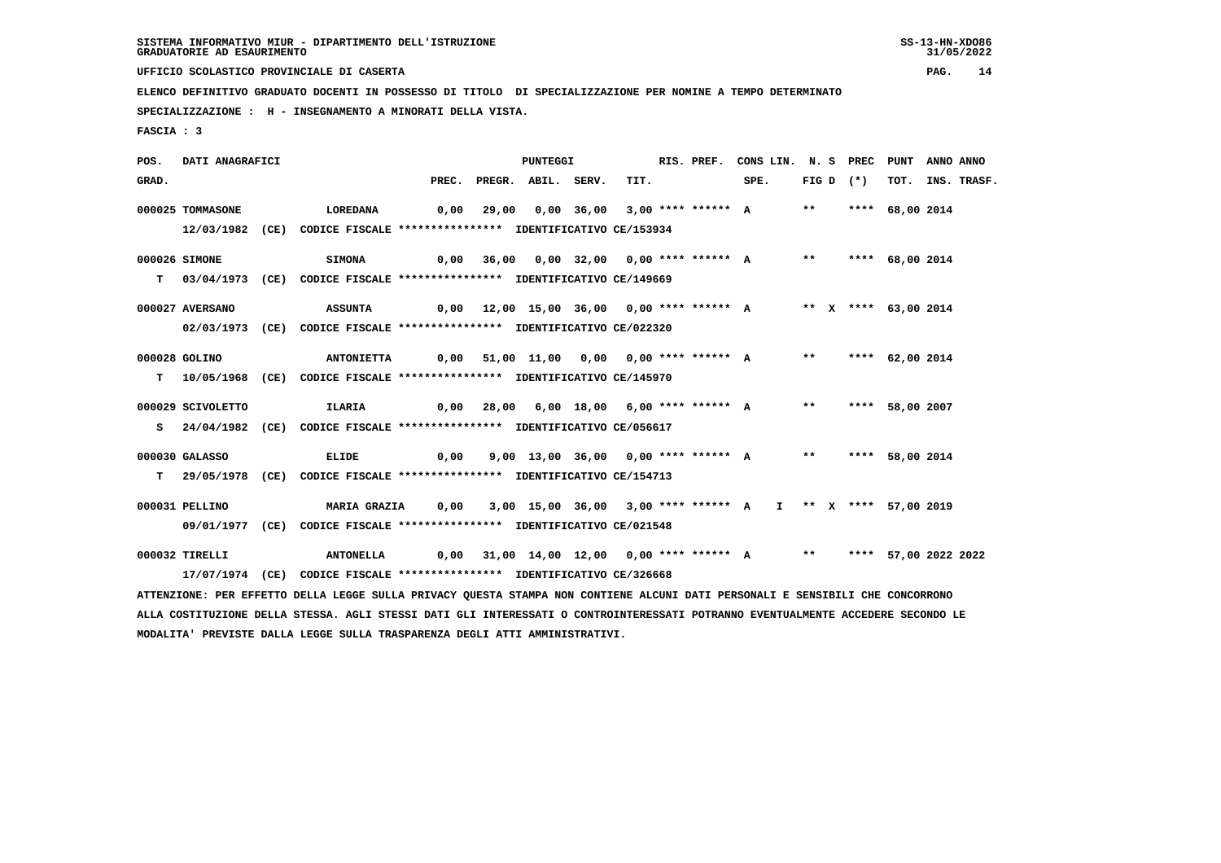**UFFICIO SCOLASTICO PROVINCIALE DI CASERTA PAG. 14**

 **ELENCO DEFINITIVO GRADUATO DOCENTI IN POSSESSO DI TITOLO DI SPECIALIZZAZIONE PER NOMINE A TEMPO DETERMINATO**

 **SPECIALIZZAZIONE : H - INSEGNAMENTO A MINORATI DELLA VISTA.**

 **FASCIA : 3**

 **POS. DATI ANAGRAFICI PUNTEGGI RIS. PREF. CONS LIN. N. S PREC PUNT ANNO ANNO**GRAD. PREC. PREGR. ABIL. SERV. TIT. SPE. FIG D (\*) TOT. INS. TRASF.  **000025 TOMMASONE LOREDANA 0,00 29,00 0,00 36,00 3,00 \*\*\*\* \*\*\*\*\*\* A \*\* \*\*\*\* 68,00 2014 12/03/1982 (CE) CODICE FISCALE \*\*\*\*\*\*\*\*\*\*\*\*\*\*\*\* IDENTIFICATIVO CE/153934 000026 SIMONE SIMONA 0,00 36,00 0,00 32,00 0,00 \*\*\*\* \*\*\*\*\*\* A \*\* \*\*\*\* 68,00 2014 T 03/04/1973 (CE) CODICE FISCALE \*\*\*\*\*\*\*\*\*\*\*\*\*\*\*\* IDENTIFICATIVO CE/149669 000027 AVERSANO ASSUNTA 0,00 12,00 15,00 36,00 0,00 \*\*\*\* \*\*\*\*\*\* A \*\* X \*\*\*\* 63,00 2014 02/03/1973 (CE) CODICE FISCALE \*\*\*\*\*\*\*\*\*\*\*\*\*\*\*\* IDENTIFICATIVO CE/022320 000028 GOLINO ANTONIETTA 0,00 51,00 11,00 0,00 0,00 \*\*\*\* \*\*\*\*\*\* A \*\* \*\*\*\* 62,00 2014 T 10/05/1968 (CE) CODICE FISCALE \*\*\*\*\*\*\*\*\*\*\*\*\*\*\*\* IDENTIFICATIVO CE/145970 000029 SCIVOLETTO ILARIA 0,00 28,00 6,00 18,00 6,00 \*\*\*\* \*\*\*\*\*\* A \*\* \*\*\*\* 58,00 2007 S 24/04/1982 (CE) CODICE FISCALE \*\*\*\*\*\*\*\*\*\*\*\*\*\*\*\* IDENTIFICATIVO CE/056617 000030 GALASSO ELIDE 0,00 9,00 13,00 36,00 0,00 \*\*\*\* \*\*\*\*\*\* A \*\* \*\*\*\* 58,00 2014 T 29/05/1978 (CE) CODICE FISCALE \*\*\*\*\*\*\*\*\*\*\*\*\*\*\*\* IDENTIFICATIVO CE/154713 000031 PELLINO MARIA GRAZIA 0,00 3,00 15,00 36,00 3,00 \*\*\*\* \*\*\*\*\*\* A I \*\* X \*\*\*\* 57,00 2019 09/01/1977 (CE) CODICE FISCALE \*\*\*\*\*\*\*\*\*\*\*\*\*\*\*\* IDENTIFICATIVO CE/021548 000032 TIRELLI ANTONELLA 0,00 31,00 14,00 12,00 0,00 \*\*\*\* \*\*\*\*\*\* A \*\* \*\*\*\* 57,00 2022 2022 17/07/1974 (CE) CODICE FISCALE \*\*\*\*\*\*\*\*\*\*\*\*\*\*\*\* IDENTIFICATIVO CE/326668 ATTENZIONE: PER EFFETTO DELLA LEGGE SULLA PRIVACY QUESTA STAMPA NON CONTIENE ALCUNI DATI PERSONALI E SENSIBILI CHE CONCORRONO ALLA COSTITUZIONE DELLA STESSA. AGLI STESSI DATI GLI INTERESSATI O CONTROINTERESSATI POTRANNO EVENTUALMENTE ACCEDERE SECONDO LE MODALITA' PREVISTE DALLA LEGGE SULLA TRASPARENZA DEGLI ATTI AMMINISTRATIVI.**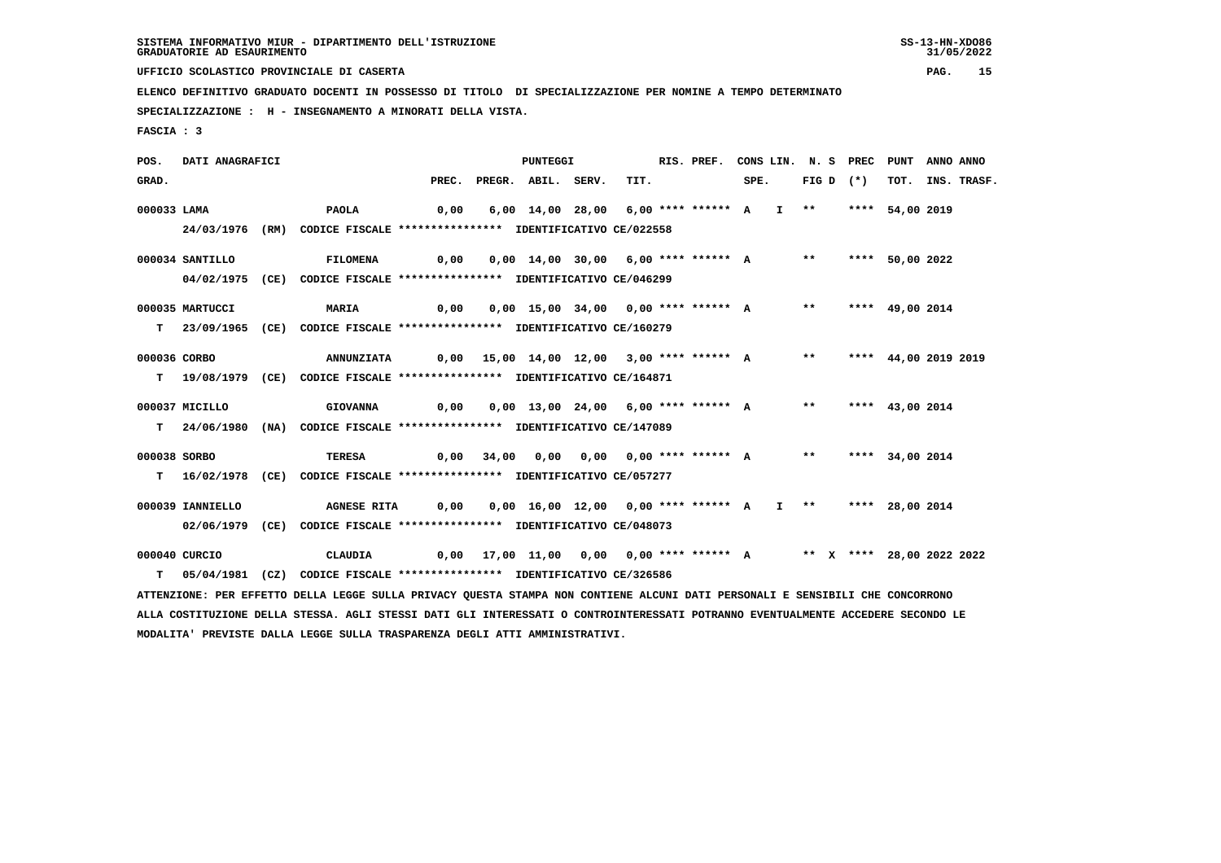**UFFICIO SCOLASTICO PROVINCIALE DI CASERTA PAG. 15**

 **ELENCO DEFINITIVO GRADUATO DOCENTI IN POSSESSO DI TITOLO DI SPECIALIZZAZIONE PER NOMINE A TEMPO DETERMINATO**

 **SPECIALIZZAZIONE : H - INSEGNAMENTO A MINORATI DELLA VISTA.**

 **FASCIA : 3**

 **POS. DATI ANAGRAFICI PUNTEGGI RIS. PREF. CONS LIN. N. S PREC PUNT ANNO ANNO**GRAD. PREC. PREGR. ABIL. SERV. TIT. SPE. FIG D (\*) TOT. INS. TRASF.  **000033 LAMA PAOLA 0,00 6,00 14,00 28,00 6,00 \*\*\*\* \*\*\*\*\*\* A I \*\* \*\*\*\* 54,00 2019 24/03/1976 (RM) CODICE FISCALE \*\*\*\*\*\*\*\*\*\*\*\*\*\*\*\* IDENTIFICATIVO CE/022558 000034 SANTILLO FILOMENA 0,00 0,00 14,00 30,00 6,00 \*\*\*\* \*\*\*\*\*\* A \*\* \*\*\*\* 50,00 2022 04/02/1975 (CE) CODICE FISCALE \*\*\*\*\*\*\*\*\*\*\*\*\*\*\*\* IDENTIFICATIVO CE/046299 000035 MARTUCCI MARIA 0,00 0,00 15,00 34,00 0,00 \*\*\*\* \*\*\*\*\*\* A \*\* \*\*\*\* 49,00 2014 T 23/09/1965 (CE) CODICE FISCALE \*\*\*\*\*\*\*\*\*\*\*\*\*\*\*\* IDENTIFICATIVO CE/160279 000036 CORBO ANNUNZIATA 0,00 15,00 14,00 12,00 3,00 \*\*\*\* \*\*\*\*\*\* A \*\* \*\*\*\* 44,00 2019 2019 T 19/08/1979 (CE) CODICE FISCALE \*\*\*\*\*\*\*\*\*\*\*\*\*\*\*\* IDENTIFICATIVO CE/164871 000037 MICILLO GIOVANNA 0,00 0,00 13,00 24,00 6,00 \*\*\*\* \*\*\*\*\*\* A \*\* \*\*\*\* 43,00 2014 T 24/06/1980 (NA) CODICE FISCALE \*\*\*\*\*\*\*\*\*\*\*\*\*\*\*\* IDENTIFICATIVO CE/147089 000038 SORBO TERESA 0,00 34,00 0,00 0,00 0,00 \*\*\*\* \*\*\*\*\*\* A \*\* \*\*\*\* 34,00 2014 T 16/02/1978 (CE) CODICE FISCALE \*\*\*\*\*\*\*\*\*\*\*\*\*\*\*\* IDENTIFICATIVO CE/057277 000039 IANNIELLO AGNESE RITA 0,00 0,00 16,00 12,00 0,00 \*\*\*\* \*\*\*\*\*\* A I \*\* \*\*\*\* 28,00 2014 02/06/1979 (CE) CODICE FISCALE \*\*\*\*\*\*\*\*\*\*\*\*\*\*\*\* IDENTIFICATIVO CE/048073 000040 CURCIO CLAUDIA 0,00 17,00 11,00 0,00 0,00 \*\*\*\* \*\*\*\*\*\* A \*\* X \*\*\*\* 28,00 2022 2022 T 05/04/1981 (CZ) CODICE FISCALE \*\*\*\*\*\*\*\*\*\*\*\*\*\*\*\* IDENTIFICATIVO CE/326586 ATTENZIONE: PER EFFETTO DELLA LEGGE SULLA PRIVACY QUESTA STAMPA NON CONTIENE ALCUNI DATI PERSONALI E SENSIBILI CHE CONCORRONO ALLA COSTITUZIONE DELLA STESSA. AGLI STESSI DATI GLI INTERESSATI O CONTROINTERESSATI POTRANNO EVENTUALMENTE ACCEDERE SECONDO LE MODALITA' PREVISTE DALLA LEGGE SULLA TRASPARENZA DEGLI ATTI AMMINISTRATIVI.**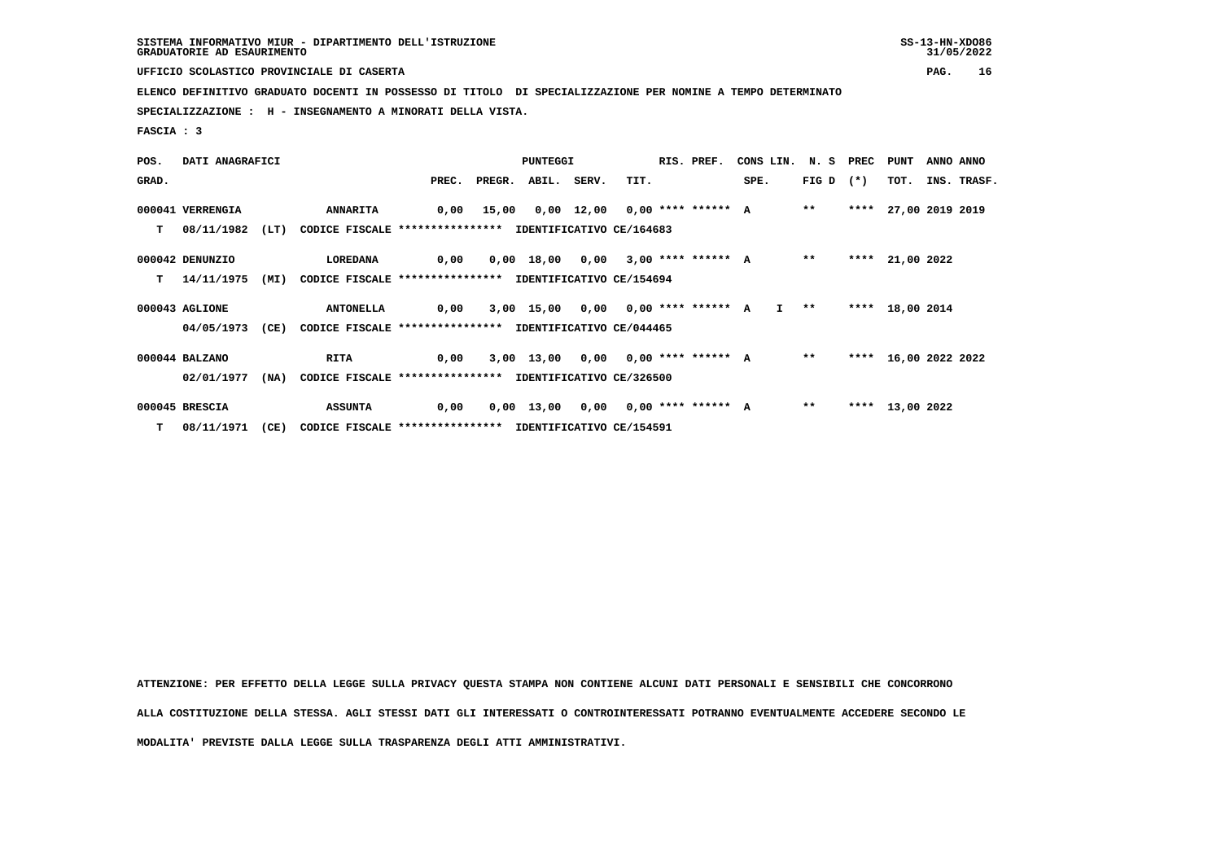| SISTEMA INFORMATIVO MIUR - DIPARTIMENTO DELL'ISTRUZIONE | $SS-13-HN-XDO86$ |
|---------------------------------------------------------|------------------|
| GRADUATORIE AD ESAURIMENTO                              | 31/05/2022       |

 **UFFICIO SCOLASTICO PROVINCIALE DI CASERTA PAG. 16**

 **ELENCO DEFINITIVO GRADUATO DOCENTI IN POSSESSO DI TITOLO DI SPECIALIZZAZIONE PER NOMINE A TEMPO DETERMINATO**

 **SPECIALIZZAZIONE : H - INSEGNAMENTO A MINORATI DELLA VISTA.**

 **FASCIA : 3**

| POS.  | DATI ANAGRAFICI  |      |                                                          |       | PUNTEGGI |       |       |                                      |  |  | CONS LIN. N. S PREC PUNT                 |                   |      |                      | ANNO ANNO |             |
|-------|------------------|------|----------------------------------------------------------|-------|----------|-------|-------|--------------------------------------|--|--|------------------------------------------|-------------------|------|----------------------|-----------|-------------|
| GRAD. |                  |      |                                                          | PREC. | PREGR.   | ABIL. | SERV. | TIT.                                 |  |  | SPE.                                     | FIG D $(*)$       |      | TOT.                 |           | INS. TRASF. |
|       | 000041 VERRENGIA |      | <b>ANNARITA</b>                                          |       |          |       |       |                                      |  |  | 0,00 15,00 0,00 12,00 0,00 **** ****** A | $* *$             |      | **** 27,00 2019 2019 |           |             |
| т     | 08/11/1982       | (LT) | CODICE FISCALE **************** IDENTIFICATIVO CE/164683 |       |          |       |       |                                      |  |  |                                          |                   |      |                      |           |             |
|       | 000042 DENUNZIO  |      | LOREDANA                                                 | 0,00  |          |       |       |                                      |  |  | 0,00 18,00 0,00 3,00 **** ****** A       | $* *$             | **** | 21,00 2022           |           |             |
| T.    | 14/11/1975       | (MI) | CODICE FISCALE **************** IDENTIFICATIVO CE/154694 |       |          |       |       |                                      |  |  |                                          |                   |      |                      |           |             |
|       | 000043 AGLIONE   |      | <b>ANTONELLA</b>                                         | 0,00  |          |       |       | 3,00 15,00 0,00 0,00 **** ****** A   |  |  |                                          | $I \rightarrow *$ |      | **** 18,00 2014      |           |             |
|       | 04/05/1973       | (CE) | CODICE FISCALE **************** IDENTIFICATIVO CE/044465 |       |          |       |       |                                      |  |  |                                          |                   |      |                      |           |             |
|       | 000044 BALZANO   |      | <b>RITA</b>                                              | 0,00  |          |       |       |                                      |  |  | 3,00 13,00 0,00 0,00 **** ****** A       | $***$             |      | **** 16,00 2022 2022 |           |             |
|       | 02/01/1977       | (NA) | CODICE FISCALE **************** IDENTIFICATIVO CE/326500 |       |          |       |       |                                      |  |  |                                          |                   |      |                      |           |             |
|       | 000045 BRESCIA   |      | <b>ASSUNTA</b>                                           | 0,00  |          |       |       | $0,00$ 13,00 0,00 0,00 **** ****** A |  |  |                                          | $* *$             |      | **** 13,00 2022      |           |             |
|       | $T = 08/11/1971$ | (CE) | CODICE FISCALE **************** IDENTIFICATIVO CE/154591 |       |          |       |       |                                      |  |  |                                          |                   |      |                      |           |             |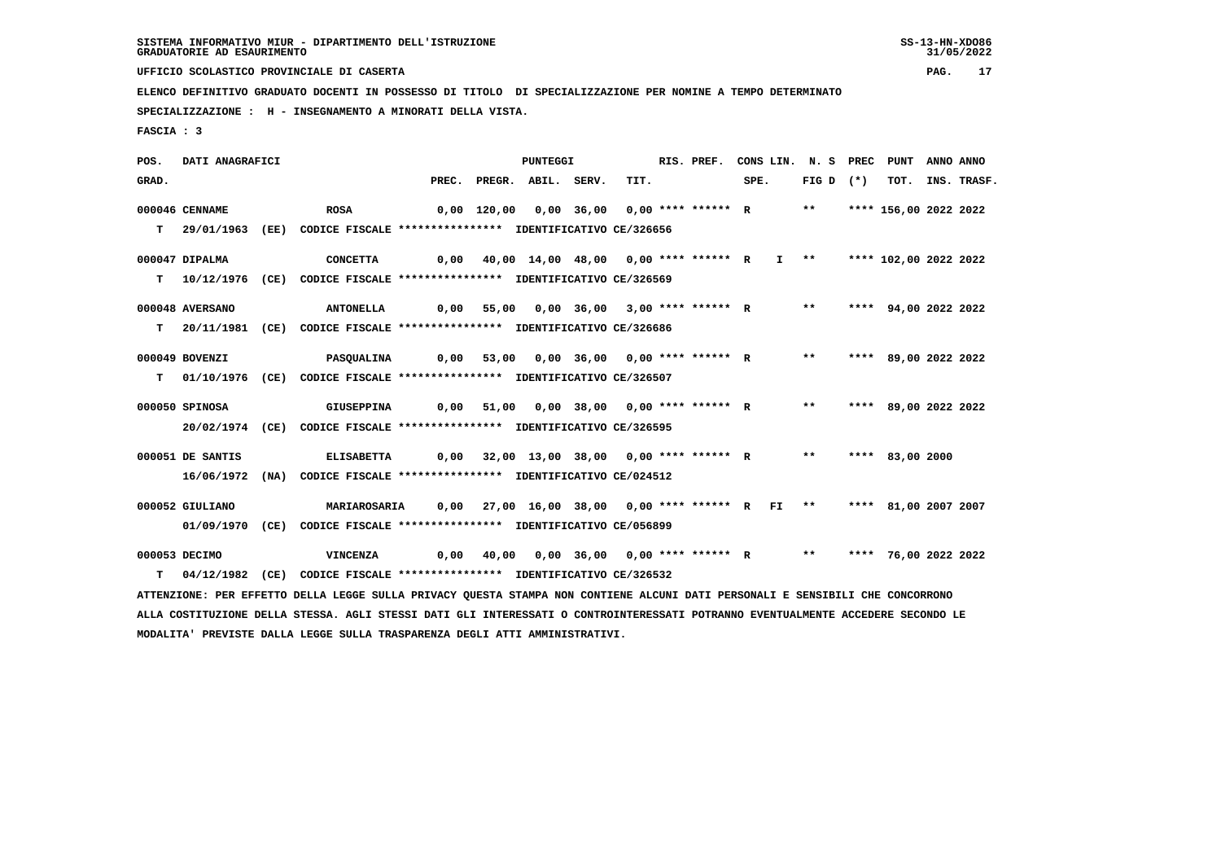**UFFICIO SCOLASTICO PROVINCIALE DI CASERTA PAG. 17**

 **ELENCO DEFINITIVO GRADUATO DOCENTI IN POSSESSO DI TITOLO DI SPECIALIZZAZIONE PER NOMINE A TEMPO DETERMINATO**

 **SPECIALIZZAZIONE : H - INSEGNAMENTO A MINORATI DELLA VISTA.**

 **FASCIA : 3**

 **POS. DATI ANAGRAFICI PUNTEGGI RIS. PREF. CONS LIN. N. S PREC PUNT ANNO ANNO**GRAD. PREC. PREGR. ABIL. SERV. TIT. SPE. FIG D (\*) TOT. INS. TRASF.  **000046 CENNAME ROSA 0,00 120,00 0,00 36,00 0,00 \*\*\*\* \*\*\*\*\*\* R \*\* \*\*\*\* 156,00 2022 2022 T 29/01/1963 (EE) CODICE FISCALE \*\*\*\*\*\*\*\*\*\*\*\*\*\*\*\* IDENTIFICATIVO CE/326656 000047 DIPALMA CONCETTA 0,00 40,00 14,00 48,00 0,00 \*\*\*\* \*\*\*\*\*\* R I \*\* \*\*\*\* 102,00 2022 2022 T 10/12/1976 (CE) CODICE FISCALE \*\*\*\*\*\*\*\*\*\*\*\*\*\*\*\* IDENTIFICATIVO CE/326569 000048 AVERSANO ANTONELLA 0,00 55,00 0,00 36,00 3,00 \*\*\*\* \*\*\*\*\*\* R \*\* \*\*\*\* 94,00 2022 2022 T 20/11/1981 (CE) CODICE FISCALE \*\*\*\*\*\*\*\*\*\*\*\*\*\*\*\* IDENTIFICATIVO CE/326686 000049 BOVENZI PASQUALINA 0,00 53,00 0,00 36,00 0,00 \*\*\*\* \*\*\*\*\*\* R \*\* \*\*\*\* 89,00 2022 2022 T 01/10/1976 (CE) CODICE FISCALE \*\*\*\*\*\*\*\*\*\*\*\*\*\*\*\* IDENTIFICATIVO CE/326507 000050 SPINOSA GIUSEPPINA 0,00 51,00 0,00 38,00 0,00 \*\*\*\* \*\*\*\*\*\* R \*\* \*\*\*\* 89,00 2022 2022 20/02/1974 (CE) CODICE FISCALE \*\*\*\*\*\*\*\*\*\*\*\*\*\*\*\* IDENTIFICATIVO CE/326595 000051 DE SANTIS ELISABETTA 0,00 32,00 13,00 38,00 0,00 \*\*\*\* \*\*\*\*\*\* R \*\* \*\*\*\* 83,00 2000 16/06/1972 (NA) CODICE FISCALE \*\*\*\*\*\*\*\*\*\*\*\*\*\*\*\* IDENTIFICATIVO CE/024512 000052 GIULIANO MARIAROSARIA 0,00 27,00 16,00 38,00 0,00 \*\*\*\* \*\*\*\*\*\* R FI \*\* \*\*\*\* 81,00 2007 2007 01/09/1970 (CE) CODICE FISCALE \*\*\*\*\*\*\*\*\*\*\*\*\*\*\*\* IDENTIFICATIVO CE/056899 000053 DECIMO VINCENZA 0,00 40,00 0,00 36,00 0,00 \*\*\*\* \*\*\*\*\*\* R \*\* \*\*\*\* 76,00 2022 2022 T 04/12/1982 (CE) CODICE FISCALE \*\*\*\*\*\*\*\*\*\*\*\*\*\*\*\* IDENTIFICATIVO CE/326532 ATTENZIONE: PER EFFETTO DELLA LEGGE SULLA PRIVACY QUESTA STAMPA NON CONTIENE ALCUNI DATI PERSONALI E SENSIBILI CHE CONCORRONO ALLA COSTITUZIONE DELLA STESSA. AGLI STESSI DATI GLI INTERESSATI O CONTROINTERESSATI POTRANNO EVENTUALMENTE ACCEDERE SECONDO LE**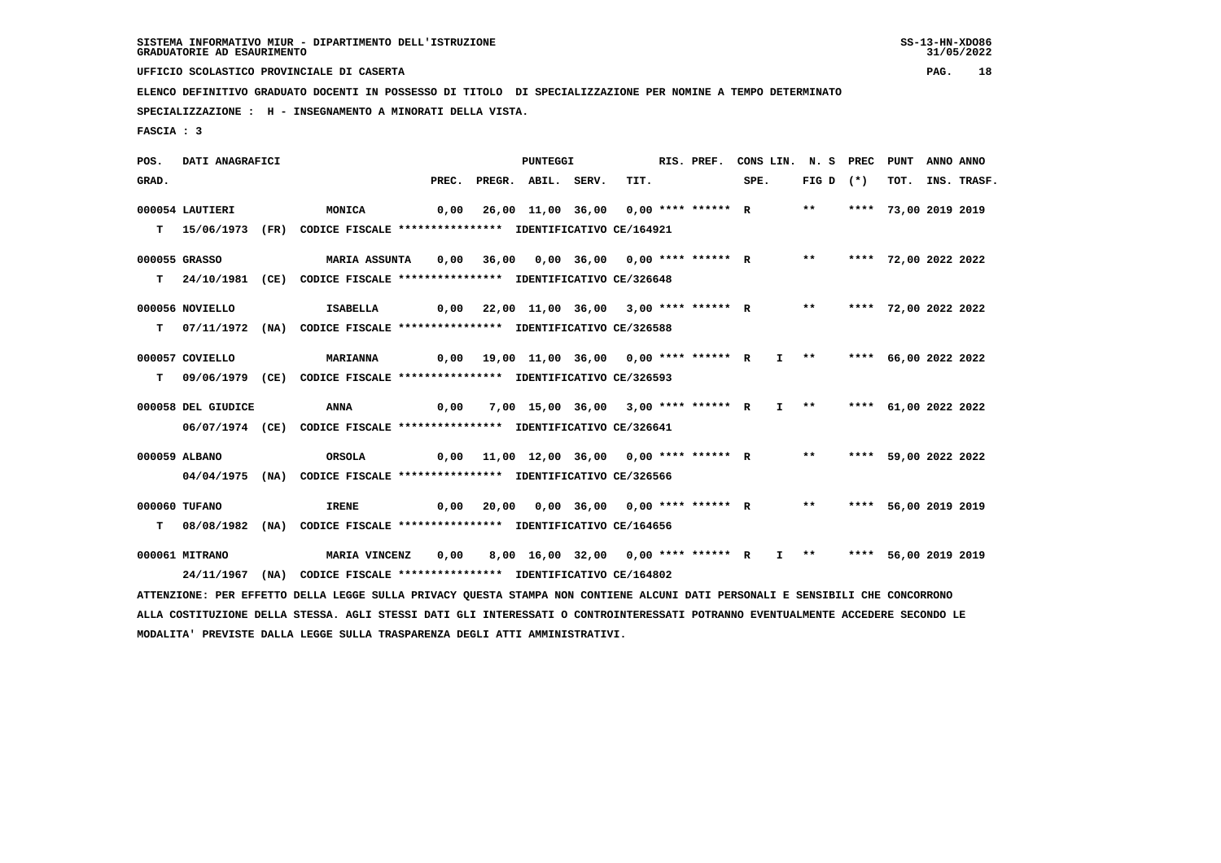**UFFICIO SCOLASTICO PROVINCIALE DI CASERTA PAG. 18**

 **ELENCO DEFINITIVO GRADUATO DOCENTI IN POSSESSO DI TITOLO DI SPECIALIZZAZIONE PER NOMINE A TEMPO DETERMINATO**

 **SPECIALIZZAZIONE : H - INSEGNAMENTO A MINORATI DELLA VISTA.**

 **FASCIA : 3**

 **POS. DATI ANAGRAFICI PUNTEGGI RIS. PREF. CONS LIN. N. S PREC PUNT ANNO ANNO**GRAD. PREC. PREGR. ABIL. SERV. TIT. SPE. FIG D (\*) TOT. INS. TRASF.  **000054 LAUTIERI MONICA 0,00 26,00 11,00 36,00 0,00 \*\*\*\* \*\*\*\*\*\* R \*\* \*\*\*\* 73,00 2019 2019 T 15/06/1973 (FR) CODICE FISCALE \*\*\*\*\*\*\*\*\*\*\*\*\*\*\*\* IDENTIFICATIVO CE/164921 000055 GRASSO MARIA ASSUNTA 0,00 36,00 0,00 36,00 0,00 \*\*\*\* \*\*\*\*\*\* R \*\* \*\*\*\* 72,00 2022 2022 T 24/10/1981 (CE) CODICE FISCALE \*\*\*\*\*\*\*\*\*\*\*\*\*\*\*\* IDENTIFICATIVO CE/326648 000056 NOVIELLO ISABELLA 0,00 22,00 11,00 36,00 3,00 \*\*\*\* \*\*\*\*\*\* R \*\* \*\*\*\* 72,00 2022 2022 T 07/11/1972 (NA) CODICE FISCALE \*\*\*\*\*\*\*\*\*\*\*\*\*\*\*\* IDENTIFICATIVO CE/326588 000057 COVIELLO MARIANNA 0,00 19,00 11,00 36,00 0,00 \*\*\*\* \*\*\*\*\*\* R I \*\* \*\*\*\* 66,00 2022 2022 T 09/06/1979 (CE) CODICE FISCALE \*\*\*\*\*\*\*\*\*\*\*\*\*\*\*\* IDENTIFICATIVO CE/326593 000058 DEL GIUDICE ANNA 0,00 7,00 15,00 36,00 3,00 \*\*\*\* \*\*\*\*\*\* R I \*\* \*\*\*\* 61,00 2022 2022 06/07/1974 (CE) CODICE FISCALE \*\*\*\*\*\*\*\*\*\*\*\*\*\*\*\* IDENTIFICATIVO CE/326641 000059 ALBANO ORSOLA 0,00 11,00 12,00 36,00 0,00 \*\*\*\* \*\*\*\*\*\* R \*\* \*\*\*\* 59,00 2022 2022 04/04/1975 (NA) CODICE FISCALE \*\*\*\*\*\*\*\*\*\*\*\*\*\*\*\* IDENTIFICATIVO CE/326566 000060 TUFANO IRENE 0,00 20,00 0,00 36,00 0,00 \*\*\*\* \*\*\*\*\*\* R \*\* \*\*\*\* 56,00 2019 2019 T 08/08/1982 (NA) CODICE FISCALE \*\*\*\*\*\*\*\*\*\*\*\*\*\*\*\* IDENTIFICATIVO CE/164656 000061 MITRANO MARIA VINCENZ 0,00 8,00 16,00 32,00 0,00 \*\*\*\* \*\*\*\*\*\* R I \*\* \*\*\*\* 56,00 2019 2019 24/11/1967 (NA) CODICE FISCALE \*\*\*\*\*\*\*\*\*\*\*\*\*\*\*\* IDENTIFICATIVO CE/164802 ATTENZIONE: PER EFFETTO DELLA LEGGE SULLA PRIVACY QUESTA STAMPA NON CONTIENE ALCUNI DATI PERSONALI E SENSIBILI CHE CONCORRONO ALLA COSTITUZIONE DELLA STESSA. AGLI STESSI DATI GLI INTERESSATI O CONTROINTERESSATI POTRANNO EVENTUALMENTE ACCEDERE SECONDO LE MODALITA' PREVISTE DALLA LEGGE SULLA TRASPARENZA DEGLI ATTI AMMINISTRATIVI.**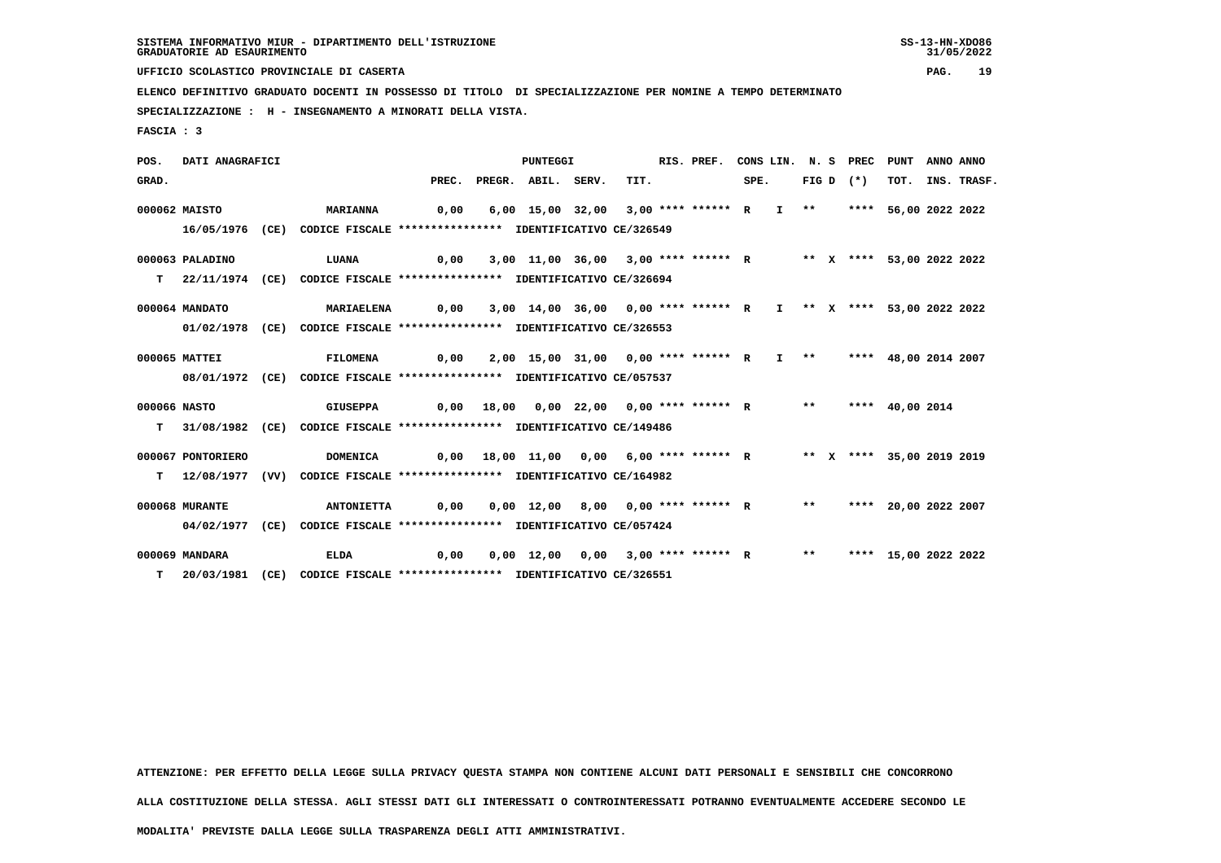**UFFICIO SCOLASTICO PROVINCIALE DI CASERTA PAG. 19**

 **ELENCO DEFINITIVO GRADUATO DOCENTI IN POSSESSO DI TITOLO DI SPECIALIZZAZIONE PER NOMINE A TEMPO DETERMINATO**

 **SPECIALIZZAZIONE : H - INSEGNAMENTO A MINORATI DELLA VISTA.**

 **FASCIA : 3**

 **POS. DATI ANAGRAFICI PUNTEGGI RIS. PREF. CONS LIN. N. S PREC PUNT ANNO ANNOGRAD.** PREC. PREGR. ABIL. SERV. TIT. SPE. FIG D (\*) TOT. INS. TRASF.  **000062 MAISTO MARIANNA 0,00 6,00 15,00 32,00 3,00 \*\*\*\* \*\*\*\*\*\* R I \*\* \*\*\*\* 56,00 2022 2022 16/05/1976 (CE) CODICE FISCALE \*\*\*\*\*\*\*\*\*\*\*\*\*\*\*\* IDENTIFICATIVO CE/326549 000063 PALADINO LUANA 0,00 3,00 11,00 36,00 3,00 \*\*\*\* \*\*\*\*\*\* R \*\* X \*\*\*\* 53,00 2022 2022 T 22/11/1974 (CE) CODICE FISCALE \*\*\*\*\*\*\*\*\*\*\*\*\*\*\*\* IDENTIFICATIVO CE/326694 000064 MANDATO MARIAELENA 0,00 3,00 14,00 36,00 0,00 \*\*\*\* \*\*\*\*\*\* R I \*\* X \*\*\*\* 53,00 2022 2022 01/02/1978 (CE) CODICE FISCALE \*\*\*\*\*\*\*\*\*\*\*\*\*\*\*\* IDENTIFICATIVO CE/326553 000065 MATTEI FILOMENA 0,00 2,00 15,00 31,00 0,00 \*\*\*\* \*\*\*\*\*\* R I \*\* \*\*\*\* 48,00 2014 2007 08/01/1972 (CE) CODICE FISCALE \*\*\*\*\*\*\*\*\*\*\*\*\*\*\*\* IDENTIFICATIVO CE/057537 000066 NASTO GIUSEPPA 0,00 18,00 0,00 22,00 0,00 \*\*\*\* \*\*\*\*\*\* R \*\* \*\*\*\* 40,00 2014 T 31/08/1982 (CE) CODICE FISCALE \*\*\*\*\*\*\*\*\*\*\*\*\*\*\*\* IDENTIFICATIVO CE/149486 000067 PONTORIERO DOMENICA 0,00 18,00 11,00 0,00 6,00 \*\*\*\* \*\*\*\*\*\* R \*\* X \*\*\*\* 35,00 2019 2019 T 12/08/1977 (VV) CODICE FISCALE \*\*\*\*\*\*\*\*\*\*\*\*\*\*\*\* IDENTIFICATIVO CE/164982 000068 MURANTE ANTONIETTA 0,00 0,00 12,00 8,00 0,00 \*\*\*\* \*\*\*\*\*\* R \*\* \*\*\*\* 20,00 2022 2007 04/02/1977 (CE) CODICE FISCALE \*\*\*\*\*\*\*\*\*\*\*\*\*\*\*\* IDENTIFICATIVO CE/057424 000069 MANDARA ELDA 0,00 0,00 12,00 0,00 3,00 \*\*\*\* \*\*\*\*\*\* R \*\* \*\*\*\* 15,00 2022 2022 T 20/03/1981 (CE) CODICE FISCALE \*\*\*\*\*\*\*\*\*\*\*\*\*\*\*\* IDENTIFICATIVO CE/326551**

 **ATTENZIONE: PER EFFETTO DELLA LEGGE SULLA PRIVACY QUESTA STAMPA NON CONTIENE ALCUNI DATI PERSONALI E SENSIBILI CHE CONCORRONO**

 **ALLA COSTITUZIONE DELLA STESSA. AGLI STESSI DATI GLI INTERESSATI O CONTROINTERESSATI POTRANNO EVENTUALMENTE ACCEDERE SECONDO LE**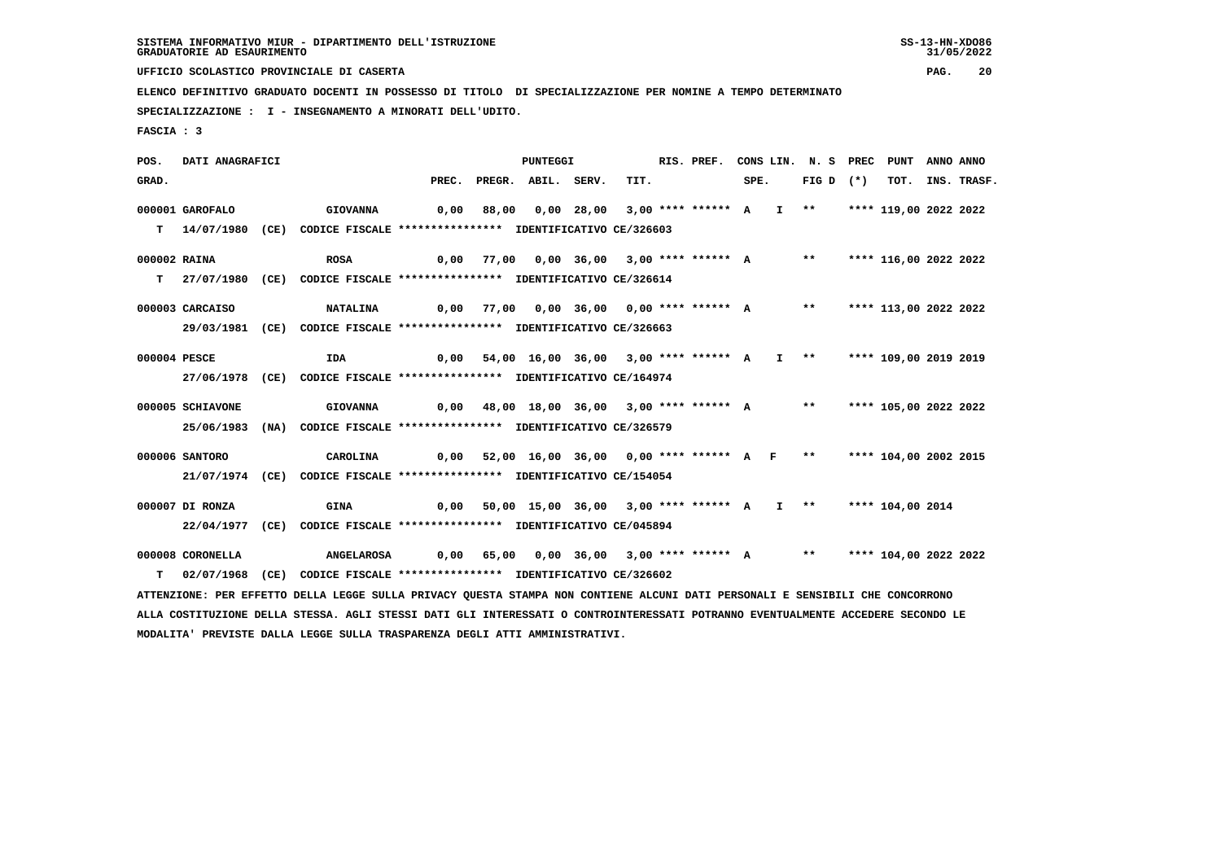**UFFICIO SCOLASTICO PROVINCIALE DI CASERTA PAG. 20**

 **ELENCO DEFINITIVO GRADUATO DOCENTI IN POSSESSO DI TITOLO DI SPECIALIZZAZIONE PER NOMINE A TEMPO DETERMINATO**

 **SPECIALIZZAZIONE : I - INSEGNAMENTO A MINORATI DELL'UDITO.**

 **FASCIA : 3**

 **POS. DATI ANAGRAFICI PUNTEGGI RIS. PREF. CONS LIN. N. S PREC PUNT ANNO ANNO**GRAD. PREC. PREGR. ABIL. SERV. TIT. SPE. FIG D (\*) TOT. INS. TRASF.  **000001 GAROFALO GIOVANNA 0,00 88,00 0,00 28,00 3,00 \*\*\*\* \*\*\*\*\*\* A I \*\* \*\*\*\* 119,00 2022 2022 T 14/07/1980 (CE) CODICE FISCALE \*\*\*\*\*\*\*\*\*\*\*\*\*\*\*\* IDENTIFICATIVO CE/326603 000002 RAINA ROSA 0,00 77,00 0,00 36,00 3,00 \*\*\*\* \*\*\*\*\*\* A \*\* \*\*\*\* 116,00 2022 2022 T 27/07/1980 (CE) CODICE FISCALE \*\*\*\*\*\*\*\*\*\*\*\*\*\*\*\* IDENTIFICATIVO CE/326614 000003 CARCAISO NATALINA 0,00 77,00 0,00 36,00 0,00 \*\*\*\* \*\*\*\*\*\* A \*\* \*\*\*\* 113,00 2022 2022 29/03/1981 (CE) CODICE FISCALE \*\*\*\*\*\*\*\*\*\*\*\*\*\*\*\* IDENTIFICATIVO CE/326663 000004 PESCE IDA 0,00 54,00 16,00 36,00 3,00 \*\*\*\* \*\*\*\*\*\* A I \*\* \*\*\*\* 109,00 2019 2019 27/06/1978 (CE) CODICE FISCALE \*\*\*\*\*\*\*\*\*\*\*\*\*\*\*\* IDENTIFICATIVO CE/164974 000005 SCHIAVONE GIOVANNA 0,00 48,00 18,00 36,00 3,00 \*\*\*\* \*\*\*\*\*\* A \*\* \*\*\*\* 105,00 2022 2022 25/06/1983 (NA) CODICE FISCALE \*\*\*\*\*\*\*\*\*\*\*\*\*\*\*\* IDENTIFICATIVO CE/326579 000006 SANTORO CAROLINA 0,00 52,00 16,00 36,00 0,00 \*\*\*\* \*\*\*\*\*\* A F \*\* \*\*\*\* 104,00 2002 2015 21/07/1974 (CE) CODICE FISCALE \*\*\*\*\*\*\*\*\*\*\*\*\*\*\*\* IDENTIFICATIVO CE/154054 000007 DI RONZA GINA 0,00 50,00 15,00 36,00 3,00 \*\*\*\* \*\*\*\*\*\* A I \*\* \*\*\*\* 104,00 2014 22/04/1977 (CE) CODICE FISCALE \*\*\*\*\*\*\*\*\*\*\*\*\*\*\*\* IDENTIFICATIVO CE/045894 000008 CORONELLA ANGELAROSA 0,00 65,00 0,00 36,00 3,00 \*\*\*\* \*\*\*\*\*\* A \*\* \*\*\*\* 104,00 2022 2022 T 02/07/1968 (CE) CODICE FISCALE \*\*\*\*\*\*\*\*\*\*\*\*\*\*\*\* IDENTIFICATIVO CE/326602 ATTENZIONE: PER EFFETTO DELLA LEGGE SULLA PRIVACY QUESTA STAMPA NON CONTIENE ALCUNI DATI PERSONALI E SENSIBILI CHE CONCORRONO ALLA COSTITUZIONE DELLA STESSA. AGLI STESSI DATI GLI INTERESSATI O CONTROINTERESSATI POTRANNO EVENTUALMENTE ACCEDERE SECONDO LE**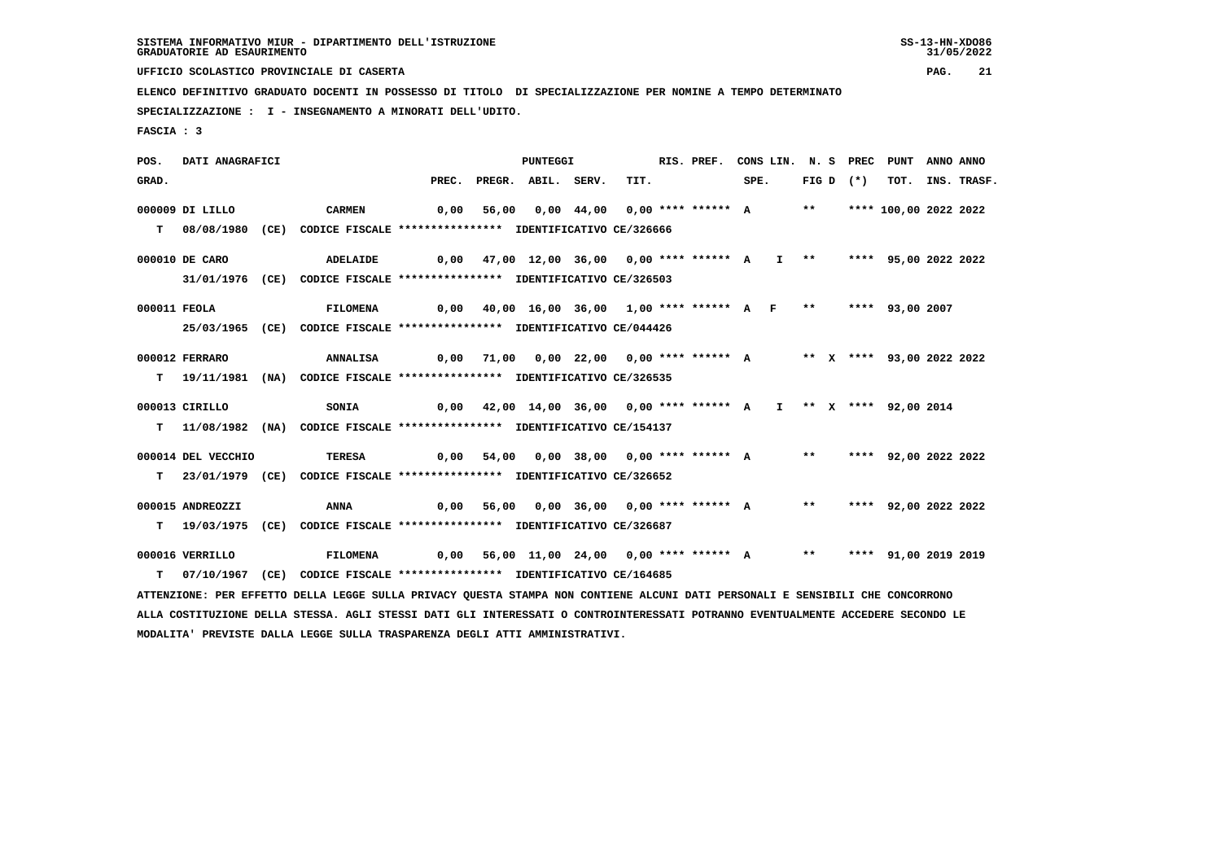**UFFICIO SCOLASTICO PROVINCIALE DI CASERTA PAG. 21**

 **ELENCO DEFINITIVO GRADUATO DOCENTI IN POSSESSO DI TITOLO DI SPECIALIZZAZIONE PER NOMINE A TEMPO DETERMINATO**

 **SPECIALIZZAZIONE : I - INSEGNAMENTO A MINORATI DELL'UDITO.**

 **FASCIA : 3**

 **POS. DATI ANAGRAFICI PUNTEGGI RIS. PREF. CONS LIN. N. S PREC PUNT ANNO ANNO**GRAD. PREC. PREGR. ABIL. SERV. TIT. SPE. FIG D (\*) TOT. INS. TRASF.  **000009 DI LILLO CARMEN 0,00 56,00 0,00 44,00 0,00 \*\*\*\* \*\*\*\*\*\* A \*\* \*\*\*\* 100,00 2022 2022 T 08/08/1980 (CE) CODICE FISCALE \*\*\*\*\*\*\*\*\*\*\*\*\*\*\*\* IDENTIFICATIVO CE/326666 000010 DE CARO ADELAIDE 0,00 47,00 12,00 36,00 0,00 \*\*\*\* \*\*\*\*\*\* A I \*\* \*\*\*\* 95,00 2022 2022 31/01/1976 (CE) CODICE FISCALE \*\*\*\*\*\*\*\*\*\*\*\*\*\*\*\* IDENTIFICATIVO CE/326503 000011 FEOLA FILOMENA 0,00 40,00 16,00 36,00 1,00 \*\*\*\* \*\*\*\*\*\* A F \*\* \*\*\*\* 93,00 2007 25/03/1965 (CE) CODICE FISCALE \*\*\*\*\*\*\*\*\*\*\*\*\*\*\*\* IDENTIFICATIVO CE/044426 000012 FERRARO ANNALISA 0,00 71,00 0,00 22,00 0,00 \*\*\*\* \*\*\*\*\*\* A \*\* X \*\*\*\* 93,00 2022 2022 T 19/11/1981 (NA) CODICE FISCALE \*\*\*\*\*\*\*\*\*\*\*\*\*\*\*\* IDENTIFICATIVO CE/326535 000013 CIRILLO SONIA 0,00 42,00 14,00 36,00 0,00 \*\*\*\* \*\*\*\*\*\* A I \*\* X \*\*\*\* 92,00 2014 T 11/08/1982 (NA) CODICE FISCALE \*\*\*\*\*\*\*\*\*\*\*\*\*\*\*\* IDENTIFICATIVO CE/154137 000014 DEL VECCHIO TERESA 0,00 54,00 0,00 38,00 0,00 \*\*\*\* \*\*\*\*\*\* A \*\* \*\*\*\* 92,00 2022 2022 T 23/01/1979 (CE) CODICE FISCALE \*\*\*\*\*\*\*\*\*\*\*\*\*\*\*\* IDENTIFICATIVO CE/326652 000015 ANDREOZZI ANNA 0,00 56,00 0,00 36,00 0,00 \*\*\*\* \*\*\*\*\*\* A \*\* \*\*\*\* 92,00 2022 2022 T 19/03/1975 (CE) CODICE FISCALE \*\*\*\*\*\*\*\*\*\*\*\*\*\*\*\* IDENTIFICATIVO CE/326687 000016 VERRILLO FILOMENA 0,00 56,00 11,00 24,00 0,00 \*\*\*\* \*\*\*\*\*\* A \*\* \*\*\*\* 91,00 2019 2019 T 07/10/1967 (CE) CODICE FISCALE \*\*\*\*\*\*\*\*\*\*\*\*\*\*\*\* IDENTIFICATIVO CE/164685 ATTENZIONE: PER EFFETTO DELLA LEGGE SULLA PRIVACY QUESTA STAMPA NON CONTIENE ALCUNI DATI PERSONALI E SENSIBILI CHE CONCORRONO ALLA COSTITUZIONE DELLA STESSA. AGLI STESSI DATI GLI INTERESSATI O CONTROINTERESSATI POTRANNO EVENTUALMENTE ACCEDERE SECONDO LE MODALITA' PREVISTE DALLA LEGGE SULLA TRASPARENZA DEGLI ATTI AMMINISTRATIVI.**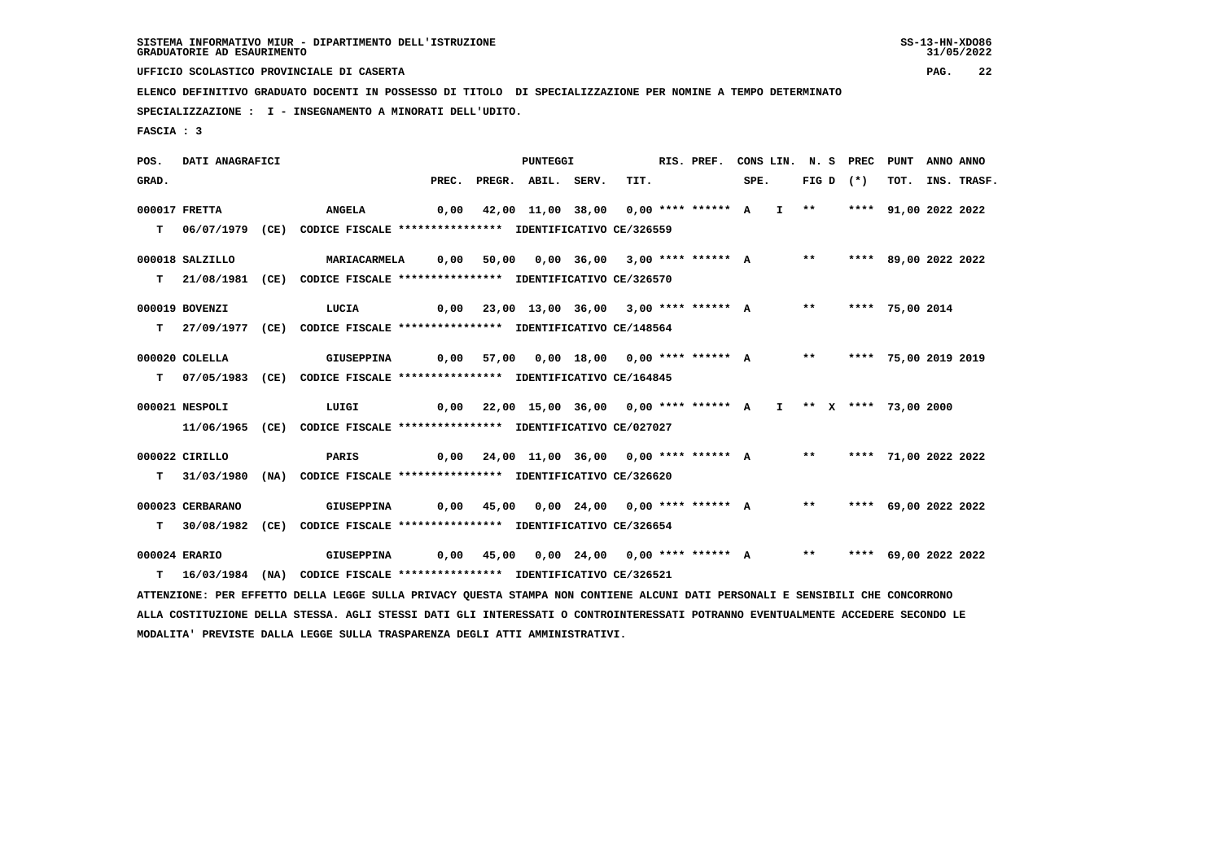**UFFICIO SCOLASTICO PROVINCIALE DI CASERTA PAG. 22**

 **ELENCO DEFINITIVO GRADUATO DOCENTI IN POSSESSO DI TITOLO DI SPECIALIZZAZIONE PER NOMINE A TEMPO DETERMINATO**

 **SPECIALIZZAZIONE : I - INSEGNAMENTO A MINORATI DELL'UDITO.**

 **FASCIA : 3**

 **POS. DATI ANAGRAFICI PUNTEGGI RIS. PREF. CONS LIN. N. S PREC PUNT ANNO ANNO**GRAD. PREC. PREGR. ABIL. SERV. TIT. SPE. FIG D (\*) TOT. INS. TRASF.  **000017 FRETTA ANGELA 0,00 42,00 11,00 38,00 0,00 \*\*\*\* \*\*\*\*\*\* A I \*\* \*\*\*\* 91,00 2022 2022 T 06/07/1979 (CE) CODICE FISCALE \*\*\*\*\*\*\*\*\*\*\*\*\*\*\*\* IDENTIFICATIVO CE/326559 000018 SALZILLO MARIACARMELA 0,00 50,00 0,00 36,00 3,00 \*\*\*\* \*\*\*\*\*\* A \*\* \*\*\*\* 89,00 2022 2022 T 21/08/1981 (CE) CODICE FISCALE \*\*\*\*\*\*\*\*\*\*\*\*\*\*\*\* IDENTIFICATIVO CE/326570 000019 BOVENZI LUCIA 0,00 23,00 13,00 36,00 3,00 \*\*\*\* \*\*\*\*\*\* A \*\* \*\*\*\* 75,00 2014 T 27/09/1977 (CE) CODICE FISCALE \*\*\*\*\*\*\*\*\*\*\*\*\*\*\*\* IDENTIFICATIVO CE/148564 000020 COLELLA GIUSEPPINA 0,00 57,00 0,00 18,00 0,00 \*\*\*\* \*\*\*\*\*\* A \*\* \*\*\*\* 75,00 2019 2019 T 07/05/1983 (CE) CODICE FISCALE \*\*\*\*\*\*\*\*\*\*\*\*\*\*\*\* IDENTIFICATIVO CE/164845 000021 NESPOLI LUIGI 0,00 22,00 15,00 36,00 0,00 \*\*\*\* \*\*\*\*\*\* A I \*\* X \*\*\*\* 73,00 2000 11/06/1965 (CE) CODICE FISCALE \*\*\*\*\*\*\*\*\*\*\*\*\*\*\*\* IDENTIFICATIVO CE/027027 000022 CIRILLO PARIS 0,00 24,00 11,00 36,00 0,00 \*\*\*\* \*\*\*\*\*\* A \*\* \*\*\*\* 71,00 2022 2022 T 31/03/1980 (NA) CODICE FISCALE \*\*\*\*\*\*\*\*\*\*\*\*\*\*\*\* IDENTIFICATIVO CE/326620 000023 CERBARANO GIUSEPPINA 0,00 45,00 0,00 24,00 0,00 \*\*\*\* \*\*\*\*\*\* A \*\* \*\*\*\* 69,00 2022 2022 T 30/08/1982 (CE) CODICE FISCALE \*\*\*\*\*\*\*\*\*\*\*\*\*\*\*\* IDENTIFICATIVO CE/326654 000024 ERARIO GIUSEPPINA 0,00 45,00 0,00 24,00 0,00 \*\*\*\* \*\*\*\*\*\* A \*\* \*\*\*\* 69,00 2022 2022 T 16/03/1984 (NA) CODICE FISCALE \*\*\*\*\*\*\*\*\*\*\*\*\*\*\*\* IDENTIFICATIVO CE/326521 ATTENZIONE: PER EFFETTO DELLA LEGGE SULLA PRIVACY QUESTA STAMPA NON CONTIENE ALCUNI DATI PERSONALI E SENSIBILI CHE CONCORRONO ALLA COSTITUZIONE DELLA STESSA. AGLI STESSI DATI GLI INTERESSATI O CONTROINTERESSATI POTRANNO EVENTUALMENTE ACCEDERE SECONDO LE MODALITA' PREVISTE DALLA LEGGE SULLA TRASPARENZA DEGLI ATTI AMMINISTRATIVI.**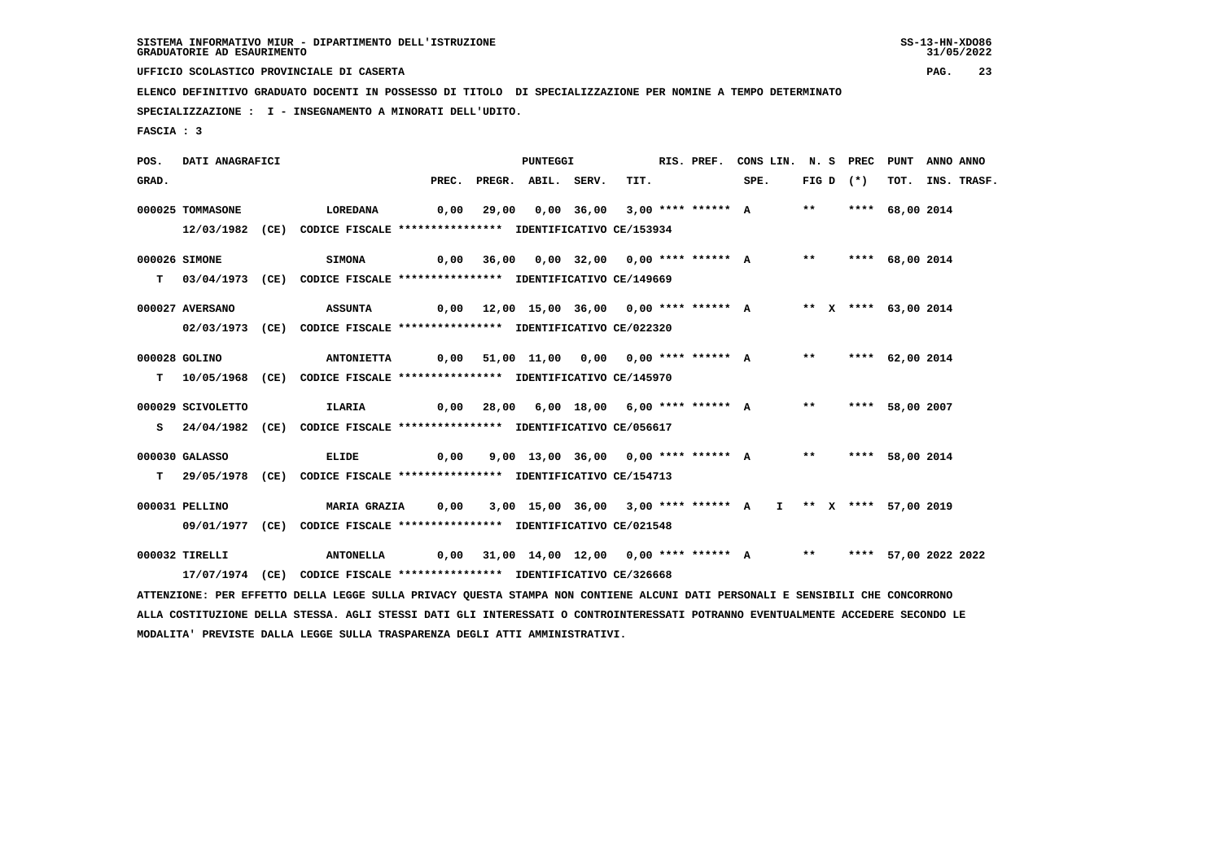31/05/2022

 **UFFICIO SCOLASTICO PROVINCIALE DI CASERTA PAG. 23**

 **ELENCO DEFINITIVO GRADUATO DOCENTI IN POSSESSO DI TITOLO DI SPECIALIZZAZIONE PER NOMINE A TEMPO DETERMINATO**

 **SPECIALIZZAZIONE : I - INSEGNAMENTO A MINORATI DELL'UDITO.**

 **FASCIA : 3**

 **POS. DATI ANAGRAFICI PUNTEGGI RIS. PREF. CONS LIN. N. S PREC PUNT ANNO ANNO**GRAD. PREC. PREGR. ABIL. SERV. TIT. SPE. FIG D (\*) TOT. INS. TRASF.  **000025 TOMMASONE LOREDANA 0,00 29,00 0,00 36,00 3,00 \*\*\*\* \*\*\*\*\*\* A \*\* \*\*\*\* 68,00 2014 12/03/1982 (CE) CODICE FISCALE \*\*\*\*\*\*\*\*\*\*\*\*\*\*\*\* IDENTIFICATIVO CE/153934 000026 SIMONE SIMONA 0,00 36,00 0,00 32,00 0,00 \*\*\*\* \*\*\*\*\*\* A \*\* \*\*\*\* 68,00 2014 T 03/04/1973 (CE) CODICE FISCALE \*\*\*\*\*\*\*\*\*\*\*\*\*\*\*\* IDENTIFICATIVO CE/149669 000027 AVERSANO ASSUNTA 0,00 12,00 15,00 36,00 0,00 \*\*\*\* \*\*\*\*\*\* A \*\* X \*\*\*\* 63,00 2014 02/03/1973 (CE) CODICE FISCALE \*\*\*\*\*\*\*\*\*\*\*\*\*\*\*\* IDENTIFICATIVO CE/022320 000028 GOLINO ANTONIETTA 0,00 51,00 11,00 0,00 0,00 \*\*\*\* \*\*\*\*\*\* A \*\* \*\*\*\* 62,00 2014 T 10/05/1968 (CE) CODICE FISCALE \*\*\*\*\*\*\*\*\*\*\*\*\*\*\*\* IDENTIFICATIVO CE/145970 000029 SCIVOLETTO ILARIA 0,00 28,00 6,00 18,00 6,00 \*\*\*\* \*\*\*\*\*\* A \*\* \*\*\*\* 58,00 2007 S 24/04/1982 (CE) CODICE FISCALE \*\*\*\*\*\*\*\*\*\*\*\*\*\*\*\* IDENTIFICATIVO CE/056617 000030 GALASSO ELIDE 0,00 9,00 13,00 36,00 0,00 \*\*\*\* \*\*\*\*\*\* A \*\* \*\*\*\* 58,00 2014 T 29/05/1978 (CE) CODICE FISCALE \*\*\*\*\*\*\*\*\*\*\*\*\*\*\*\* IDENTIFICATIVO CE/154713 000031 PELLINO MARIA GRAZIA 0,00 3,00 15,00 36,00 3,00 \*\*\*\* \*\*\*\*\*\* A I \*\* X \*\*\*\* 57,00 2019 09/01/1977 (CE) CODICE FISCALE \*\*\*\*\*\*\*\*\*\*\*\*\*\*\*\* IDENTIFICATIVO CE/021548 000032 TIRELLI ANTONELLA 0,00 31,00 14,00 12,00 0,00 \*\*\*\* \*\*\*\*\*\* A \*\* \*\*\*\* 57,00 2022 2022 17/07/1974 (CE) CODICE FISCALE \*\*\*\*\*\*\*\*\*\*\*\*\*\*\*\* IDENTIFICATIVO CE/326668 ATTENZIONE: PER EFFETTO DELLA LEGGE SULLA PRIVACY QUESTA STAMPA NON CONTIENE ALCUNI DATI PERSONALI E SENSIBILI CHE CONCORRONO ALLA COSTITUZIONE DELLA STESSA. AGLI STESSI DATI GLI INTERESSATI O CONTROINTERESSATI POTRANNO EVENTUALMENTE ACCEDERE SECONDO LE MODALITA' PREVISTE DALLA LEGGE SULLA TRASPARENZA DEGLI ATTI AMMINISTRATIVI.**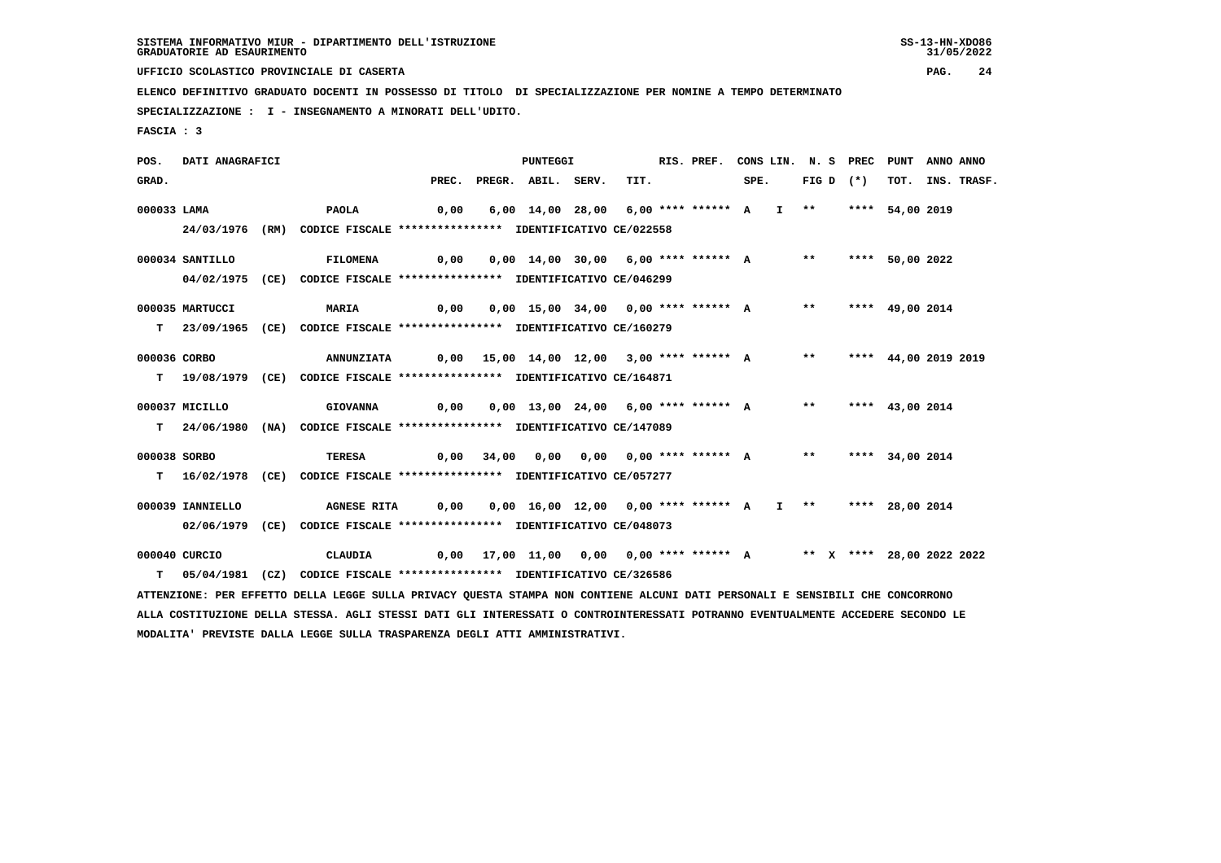31/05/2022

 **UFFICIO SCOLASTICO PROVINCIALE DI CASERTA PAG. 24**

 **ELENCO DEFINITIVO GRADUATO DOCENTI IN POSSESSO DI TITOLO DI SPECIALIZZAZIONE PER NOMINE A TEMPO DETERMINATO**

 **SPECIALIZZAZIONE : I - INSEGNAMENTO A MINORATI DELL'UDITO.**

 **FASCIA : 3**

 **POS. DATI ANAGRAFICI PUNTEGGI RIS. PREF. CONS LIN. N. S PREC PUNT ANNO ANNO**GRAD. PREC. PREGR. ABIL. SERV. TIT. SPE. FIG D (\*) TOT. INS. TRASF.  **000033 LAMA PAOLA 0,00 6,00 14,00 28,00 6,00 \*\*\*\* \*\*\*\*\*\* A I \*\* \*\*\*\* 54,00 2019 24/03/1976 (RM) CODICE FISCALE \*\*\*\*\*\*\*\*\*\*\*\*\*\*\*\* IDENTIFICATIVO CE/022558 000034 SANTILLO FILOMENA 0,00 0,00 14,00 30,00 6,00 \*\*\*\* \*\*\*\*\*\* A \*\* \*\*\*\* 50,00 2022 04/02/1975 (CE) CODICE FISCALE \*\*\*\*\*\*\*\*\*\*\*\*\*\*\*\* IDENTIFICATIVO CE/046299 000035 MARTUCCI MARIA 0,00 0,00 15,00 34,00 0,00 \*\*\*\* \*\*\*\*\*\* A \*\* \*\*\*\* 49,00 2014 T 23/09/1965 (CE) CODICE FISCALE \*\*\*\*\*\*\*\*\*\*\*\*\*\*\*\* IDENTIFICATIVO CE/160279 000036 CORBO ANNUNZIATA 0,00 15,00 14,00 12,00 3,00 \*\*\*\* \*\*\*\*\*\* A \*\* \*\*\*\* 44,00 2019 2019 T 19/08/1979 (CE) CODICE FISCALE \*\*\*\*\*\*\*\*\*\*\*\*\*\*\*\* IDENTIFICATIVO CE/164871 000037 MICILLO GIOVANNA 0,00 0,00 13,00 24,00 6,00 \*\*\*\* \*\*\*\*\*\* A \*\* \*\*\*\* 43,00 2014 T 24/06/1980 (NA) CODICE FISCALE \*\*\*\*\*\*\*\*\*\*\*\*\*\*\*\* IDENTIFICATIVO CE/147089 000038 SORBO TERESA 0,00 34,00 0,00 0,00 0,00 \*\*\*\* \*\*\*\*\*\* A \*\* \*\*\*\* 34,00 2014 T 16/02/1978 (CE) CODICE FISCALE \*\*\*\*\*\*\*\*\*\*\*\*\*\*\*\* IDENTIFICATIVO CE/057277 000039 IANNIELLO AGNESE RITA 0,00 0,00 16,00 12,00 0,00 \*\*\*\* \*\*\*\*\*\* A I \*\* \*\*\*\* 28,00 2014 02/06/1979 (CE) CODICE FISCALE \*\*\*\*\*\*\*\*\*\*\*\*\*\*\*\* IDENTIFICATIVO CE/048073 000040 CURCIO CLAUDIA 0,00 17,00 11,00 0,00 0,00 \*\*\*\* \*\*\*\*\*\* A \*\* X \*\*\*\* 28,00 2022 2022 T 05/04/1981 (CZ) CODICE FISCALE \*\*\*\*\*\*\*\*\*\*\*\*\*\*\*\* IDENTIFICATIVO CE/326586 ATTENZIONE: PER EFFETTO DELLA LEGGE SULLA PRIVACY QUESTA STAMPA NON CONTIENE ALCUNI DATI PERSONALI E SENSIBILI CHE CONCORRONO ALLA COSTITUZIONE DELLA STESSA. AGLI STESSI DATI GLI INTERESSATI O CONTROINTERESSATI POTRANNO EVENTUALMENTE ACCEDERE SECONDO LE MODALITA' PREVISTE DALLA LEGGE SULLA TRASPARENZA DEGLI ATTI AMMINISTRATIVI.**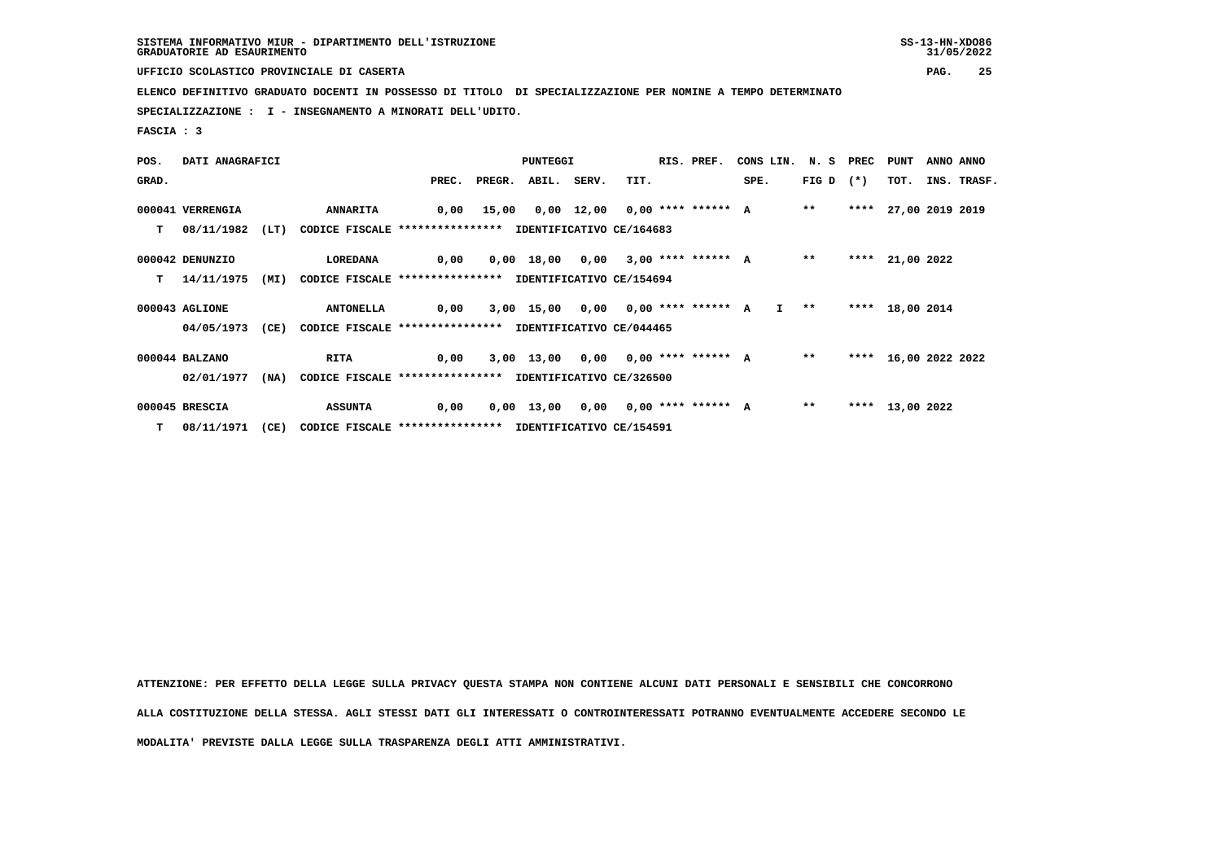**UFFICIO SCOLASTICO PROVINCIALE DI CASERTA PAG. 25**

 **ELENCO DEFINITIVO GRADUATO DOCENTI IN POSSESSO DI TITOLO DI SPECIALIZZAZIONE PER NOMINE A TEMPO DETERMINATO**

 **SPECIALIZZAZIONE : I - INSEGNAMENTO A MINORATI DELL'UDITO.**

 **FASCIA : 3**

| POS.  | DATI ANAGRAFICI  |      |                                                          |      | PUNTEGGI |                                      |  |      |  | RIS. PREF. | CONS LIN. N. S PREC PUNT                 |                   |      |                      | ANNO ANNO |             |
|-------|------------------|------|----------------------------------------------------------|------|----------|--------------------------------------|--|------|--|------------|------------------------------------------|-------------------|------|----------------------|-----------|-------------|
| GRAD. |                  |      |                                                          |      |          | PREC. PREGR. ABIL. SERV.             |  | TIT. |  |            | SPE.                                     | FIG D $(*)$       |      | тот.                 |           | INS. TRASF. |
|       | 000041 VERRENGIA |      | <b>ANNARITA</b>                                          |      |          |                                      |  |      |  |            | 0,00 15,00 0,00 12,00 0,00 **** ****** A | $***$             |      | **** 27,00 2019 2019 |           |             |
| т     | 08/11/1982       | (LT) | CODICE FISCALE **************** IDENTIFICATIVO CE/164683 |      |          |                                      |  |      |  |            |                                          |                   |      |                      |           |             |
|       | 000042 DENUNZIO  |      | LOREDANA                                                 | 0,00 |          |                                      |  |      |  |            | 0,00 18,00 0,00 3,00 **** ****** A       | $* *$             | **** | 21,00 2022           |           |             |
| т     | 14/11/1975       | (MI) | CODICE FISCALE **************** IDENTIFICATIVO CE/154694 |      |          |                                      |  |      |  |            |                                          |                   |      |                      |           |             |
|       | 000043 AGLIONE   |      | <b>ANTONELLA</b>                                         | 0,00 |          | 3,00 15,00 0,00 0,00 **** ****** A   |  |      |  |            |                                          | $I \rightarrow *$ |      | **** 18,00 2014      |           |             |
|       | 04/05/1973       | (CE) | CODICE FISCALE **************** IDENTIFICATIVO CE/044465 |      |          |                                      |  |      |  |            |                                          |                   |      |                      |           |             |
|       | 000044 BALZANO   |      | <b>RITA</b>                                              | 0,00 |          | $3,00$ 13,00 0,00 0,00 **** ****** A |  |      |  |            |                                          | $***$             |      | **** 16,00 2022 2022 |           |             |
|       | 02/01/1977       | (NA) | CODICE FISCALE **************** IDENTIFICATIVO CE/326500 |      |          |                                      |  |      |  |            |                                          |                   |      |                      |           |             |
|       | 000045 BRESCIA   |      | <b>ASSUNTA</b>                                           | 0,00 |          |                                      |  |      |  |            | $0,00$ 13,00 0,00 0,00 **** ****** A     | $***$             |      | **** 13,00 2022      |           |             |
|       | $T = 08/11/1971$ | (CE) | CODICE FISCALE **************** IDENTIFICATIVO CE/154591 |      |          |                                      |  |      |  |            |                                          |                   |      |                      |           |             |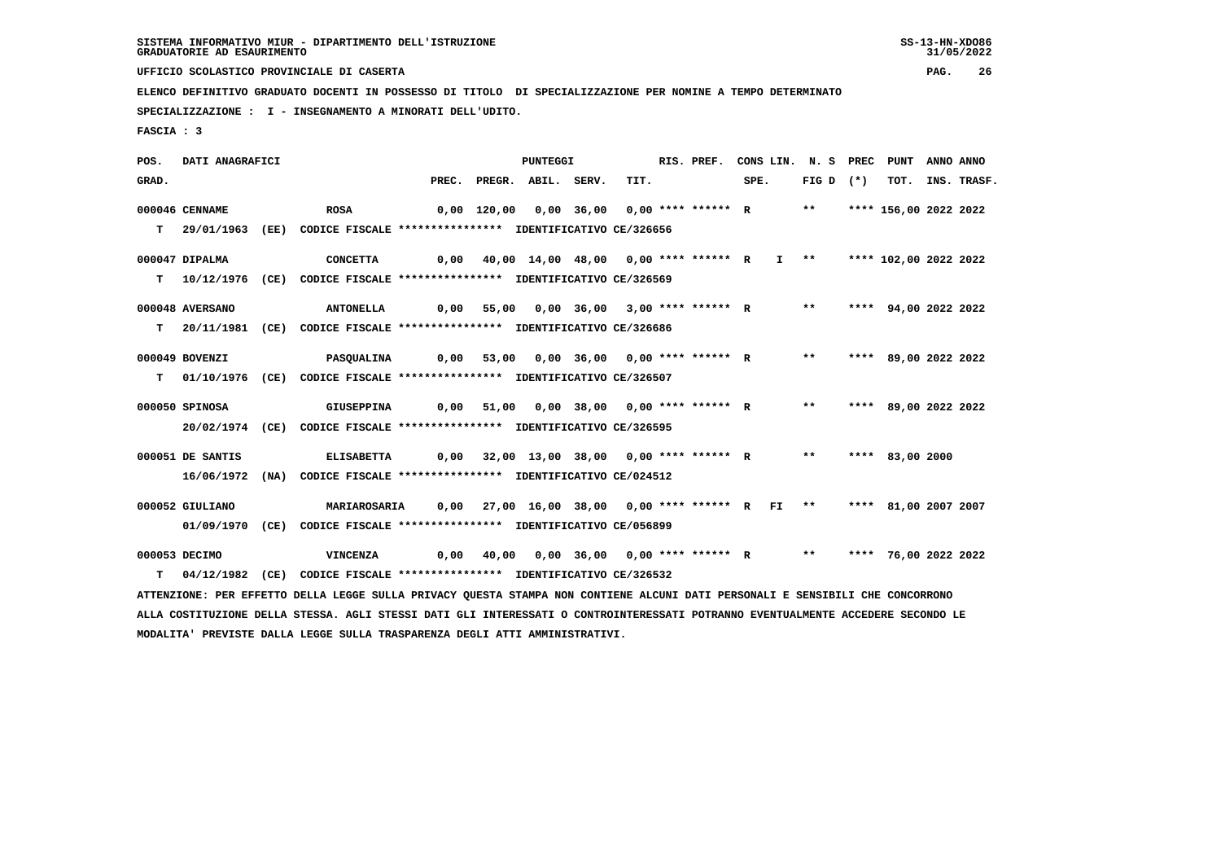**UFFICIO SCOLASTICO PROVINCIALE DI CASERTA PAG. 26**

 **ELENCO DEFINITIVO GRADUATO DOCENTI IN POSSESSO DI TITOLO DI SPECIALIZZAZIONE PER NOMINE A TEMPO DETERMINATO**

 **SPECIALIZZAZIONE : I - INSEGNAMENTO A MINORATI DELL'UDITO.**

 **FASCIA : 3**

 **POS. DATI ANAGRAFICI PUNTEGGI RIS. PREF. CONS LIN. N. S PREC PUNT ANNO ANNO**GRAD. PREC. PREGR. ABIL. SERV. TIT. SPE. FIG D (\*) TOT. INS. TRASF.  **000046 CENNAME ROSA 0,00 120,00 0,00 36,00 0,00 \*\*\*\* \*\*\*\*\*\* R \*\* \*\*\*\* 156,00 2022 2022 T 29/01/1963 (EE) CODICE FISCALE \*\*\*\*\*\*\*\*\*\*\*\*\*\*\*\* IDENTIFICATIVO CE/326656 000047 DIPALMA CONCETTA 0,00 40,00 14,00 48,00 0,00 \*\*\*\* \*\*\*\*\*\* R I \*\* \*\*\*\* 102,00 2022 2022 T 10/12/1976 (CE) CODICE FISCALE \*\*\*\*\*\*\*\*\*\*\*\*\*\*\*\* IDENTIFICATIVO CE/326569 000048 AVERSANO ANTONELLA 0,00 55,00 0,00 36,00 3,00 \*\*\*\* \*\*\*\*\*\* R \*\* \*\*\*\* 94,00 2022 2022 T 20/11/1981 (CE) CODICE FISCALE \*\*\*\*\*\*\*\*\*\*\*\*\*\*\*\* IDENTIFICATIVO CE/326686 000049 BOVENZI PASQUALINA 0,00 53,00 0,00 36,00 0,00 \*\*\*\* \*\*\*\*\*\* R \*\* \*\*\*\* 89,00 2022 2022 T 01/10/1976 (CE) CODICE FISCALE \*\*\*\*\*\*\*\*\*\*\*\*\*\*\*\* IDENTIFICATIVO CE/326507 000050 SPINOSA GIUSEPPINA 0,00 51,00 0,00 38,00 0,00 \*\*\*\* \*\*\*\*\*\* R \*\* \*\*\*\* 89,00 2022 2022 20/02/1974 (CE) CODICE FISCALE \*\*\*\*\*\*\*\*\*\*\*\*\*\*\*\* IDENTIFICATIVO CE/326595 000051 DE SANTIS ELISABETTA 0,00 32,00 13,00 38,00 0,00 \*\*\*\* \*\*\*\*\*\* R \*\* \*\*\*\* 83,00 2000 16/06/1972 (NA) CODICE FISCALE \*\*\*\*\*\*\*\*\*\*\*\*\*\*\*\* IDENTIFICATIVO CE/024512 000052 GIULIANO MARIAROSARIA 0,00 27,00 16,00 38,00 0,00 \*\*\*\* \*\*\*\*\*\* R FI \*\* \*\*\*\* 81,00 2007 2007 01/09/1970 (CE) CODICE FISCALE \*\*\*\*\*\*\*\*\*\*\*\*\*\*\*\* IDENTIFICATIVO CE/056899 000053 DECIMO VINCENZA 0,00 40,00 0,00 36,00 0,00 \*\*\*\* \*\*\*\*\*\* R \*\* \*\*\*\* 76,00 2022 2022 T 04/12/1982 (CE) CODICE FISCALE \*\*\*\*\*\*\*\*\*\*\*\*\*\*\*\* IDENTIFICATIVO CE/326532 ATTENZIONE: PER EFFETTO DELLA LEGGE SULLA PRIVACY QUESTA STAMPA NON CONTIENE ALCUNI DATI PERSONALI E SENSIBILI CHE CONCORRONO ALLA COSTITUZIONE DELLA STESSA. AGLI STESSI DATI GLI INTERESSATI O CONTROINTERESSATI POTRANNO EVENTUALMENTE ACCEDERE SECONDO LE**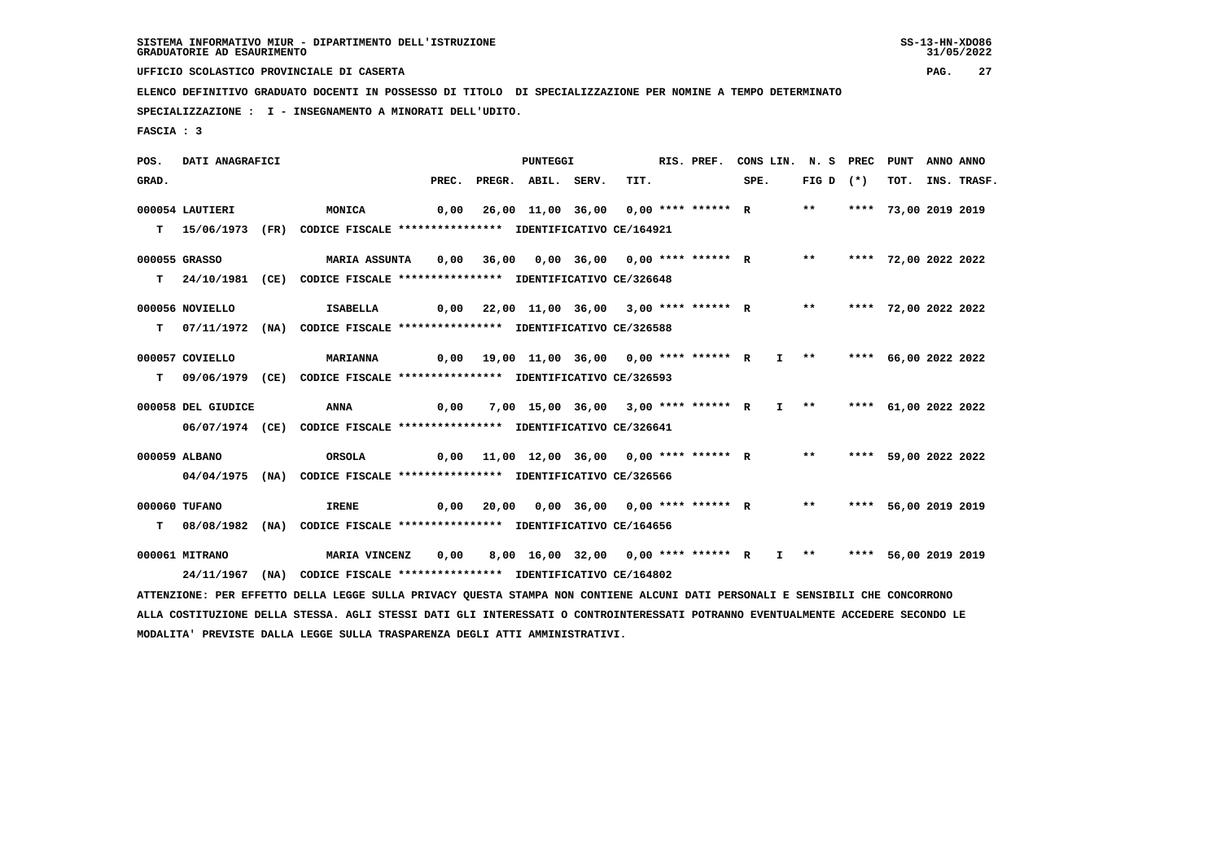**UFFICIO SCOLASTICO PROVINCIALE DI CASERTA PAG. 27**

 **ELENCO DEFINITIVO GRADUATO DOCENTI IN POSSESSO DI TITOLO DI SPECIALIZZAZIONE PER NOMINE A TEMPO DETERMINATO**

 **SPECIALIZZAZIONE : I - INSEGNAMENTO A MINORATI DELL'UDITO.**

 **FASCIA : 3**

 **POS. DATI ANAGRAFICI PUNTEGGI RIS. PREF. CONS LIN. N. S PREC PUNT ANNO ANNO**GRAD. PREC. PREGR. ABIL. SERV. TIT. SPE. FIG D (\*) TOT. INS. TRASF.  **000054 LAUTIERI MONICA 0,00 26,00 11,00 36,00 0,00 \*\*\*\* \*\*\*\*\*\* R \*\* \*\*\*\* 73,00 2019 2019 T 15/06/1973 (FR) CODICE FISCALE \*\*\*\*\*\*\*\*\*\*\*\*\*\*\*\* IDENTIFICATIVO CE/164921 000055 GRASSO MARIA ASSUNTA 0,00 36,00 0,00 36,00 0,00 \*\*\*\* \*\*\*\*\*\* R \*\* \*\*\*\* 72,00 2022 2022 T 24/10/1981 (CE) CODICE FISCALE \*\*\*\*\*\*\*\*\*\*\*\*\*\*\*\* IDENTIFICATIVO CE/326648 000056 NOVIELLO ISABELLA 0,00 22,00 11,00 36,00 3,00 \*\*\*\* \*\*\*\*\*\* R \*\* \*\*\*\* 72,00 2022 2022 T 07/11/1972 (NA) CODICE FISCALE \*\*\*\*\*\*\*\*\*\*\*\*\*\*\*\* IDENTIFICATIVO CE/326588 000057 COVIELLO MARIANNA 0,00 19,00 11,00 36,00 0,00 \*\*\*\* \*\*\*\*\*\* R I \*\* \*\*\*\* 66,00 2022 2022 T 09/06/1979 (CE) CODICE FISCALE \*\*\*\*\*\*\*\*\*\*\*\*\*\*\*\* IDENTIFICATIVO CE/326593 000058 DEL GIUDICE ANNA 0,00 7,00 15,00 36,00 3,00 \*\*\*\* \*\*\*\*\*\* R I \*\* \*\*\*\* 61,00 2022 2022 06/07/1974 (CE) CODICE FISCALE \*\*\*\*\*\*\*\*\*\*\*\*\*\*\*\* IDENTIFICATIVO CE/326641 000059 ALBANO ORSOLA 0,00 11,00 12,00 36,00 0,00 \*\*\*\* \*\*\*\*\*\* R \*\* \*\*\*\* 59,00 2022 2022 04/04/1975 (NA) CODICE FISCALE \*\*\*\*\*\*\*\*\*\*\*\*\*\*\*\* IDENTIFICATIVO CE/326566 000060 TUFANO IRENE 0,00 20,00 0,00 36,00 0,00 \*\*\*\* \*\*\*\*\*\* R \*\* \*\*\*\* 56,00 2019 2019 T 08/08/1982 (NA) CODICE FISCALE \*\*\*\*\*\*\*\*\*\*\*\*\*\*\*\* IDENTIFICATIVO CE/164656 000061 MITRANO MARIA VINCENZ 0,00 8,00 16,00 32,00 0,00 \*\*\*\* \*\*\*\*\*\* R I \*\* \*\*\*\* 56,00 2019 2019 24/11/1967 (NA) CODICE FISCALE \*\*\*\*\*\*\*\*\*\*\*\*\*\*\*\* IDENTIFICATIVO CE/164802 ATTENZIONE: PER EFFETTO DELLA LEGGE SULLA PRIVACY QUESTA STAMPA NON CONTIENE ALCUNI DATI PERSONALI E SENSIBILI CHE CONCORRONO ALLA COSTITUZIONE DELLA STESSA. AGLI STESSI DATI GLI INTERESSATI O CONTROINTERESSATI POTRANNO EVENTUALMENTE ACCEDERE SECONDO LE MODALITA' PREVISTE DALLA LEGGE SULLA TRASPARENZA DEGLI ATTI AMMINISTRATIVI.**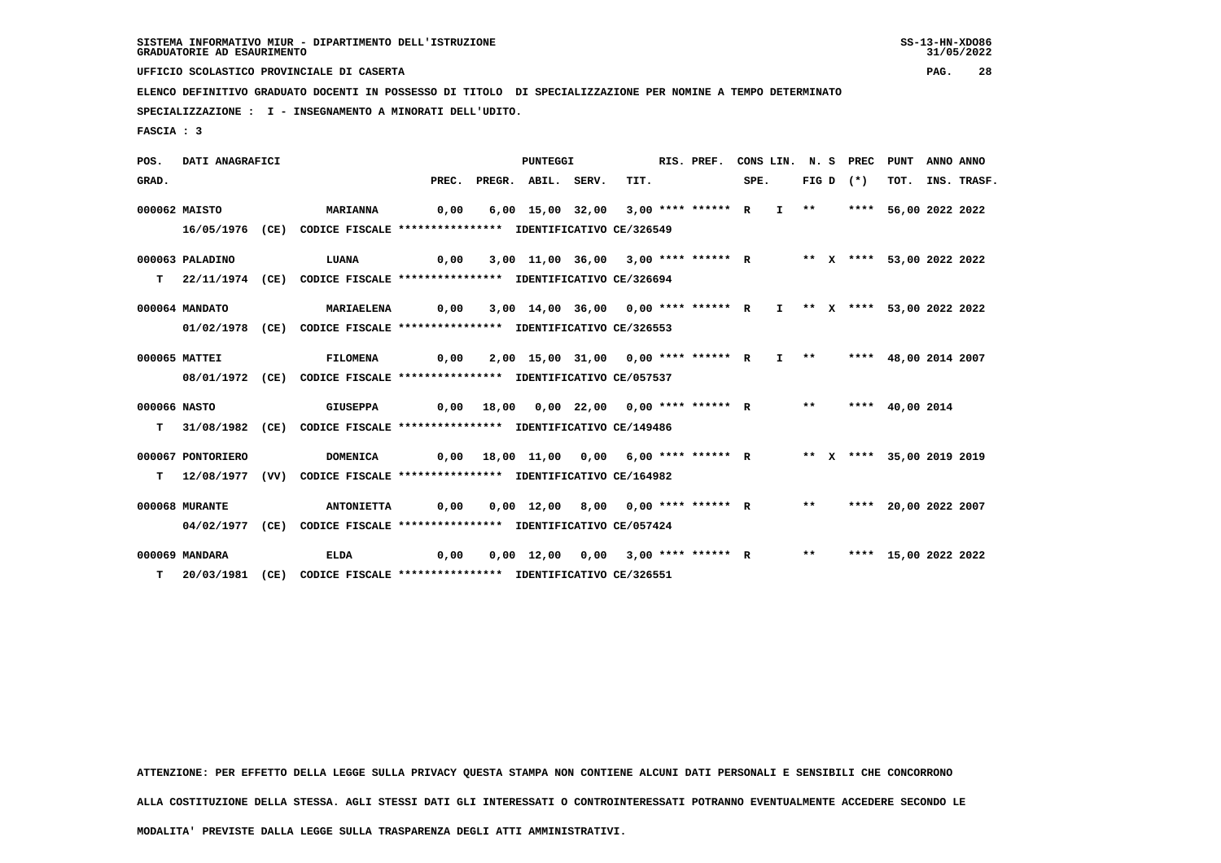**UFFICIO SCOLASTICO PROVINCIALE DI CASERTA PAG. 28**

 **ELENCO DEFINITIVO GRADUATO DOCENTI IN POSSESSO DI TITOLO DI SPECIALIZZAZIONE PER NOMINE A TEMPO DETERMINATO**

 **SPECIALIZZAZIONE : I - INSEGNAMENTO A MINORATI DELL'UDITO.**

 **FASCIA : 3**

 **POS. DATI ANAGRAFICI PUNTEGGI RIS. PREF. CONS LIN. N. S PREC PUNT ANNO ANNOGRAD.** PREC. PREGR. ABIL. SERV. TIT. SPE. FIG D (\*) TOT. INS. TRASF.  **000062 MAISTO MARIANNA 0,00 6,00 15,00 32,00 3,00 \*\*\*\* \*\*\*\*\*\* R I \*\* \*\*\*\* 56,00 2022 2022 16/05/1976 (CE) CODICE FISCALE \*\*\*\*\*\*\*\*\*\*\*\*\*\*\*\* IDENTIFICATIVO CE/326549 000063 PALADINO LUANA 0,00 3,00 11,00 36,00 3,00 \*\*\*\* \*\*\*\*\*\* R \*\* X \*\*\*\* 53,00 2022 2022 T 22/11/1974 (CE) CODICE FISCALE \*\*\*\*\*\*\*\*\*\*\*\*\*\*\*\* IDENTIFICATIVO CE/326694 000064 MANDATO MARIAELENA 0,00 3,00 14,00 36,00 0,00 \*\*\*\* \*\*\*\*\*\* R I \*\* X \*\*\*\* 53,00 2022 2022 01/02/1978 (CE) CODICE FISCALE \*\*\*\*\*\*\*\*\*\*\*\*\*\*\*\* IDENTIFICATIVO CE/326553 000065 MATTEI FILOMENA 0,00 2,00 15,00 31,00 0,00 \*\*\*\* \*\*\*\*\*\* R I \*\* \*\*\*\* 48,00 2014 2007 08/01/1972 (CE) CODICE FISCALE \*\*\*\*\*\*\*\*\*\*\*\*\*\*\*\* IDENTIFICATIVO CE/057537 000066 NASTO GIUSEPPA 0,00 18,00 0,00 22,00 0,00 \*\*\*\* \*\*\*\*\*\* R \*\* \*\*\*\* 40,00 2014 T 31/08/1982 (CE) CODICE FISCALE \*\*\*\*\*\*\*\*\*\*\*\*\*\*\*\* IDENTIFICATIVO CE/149486 000067 PONTORIERO DOMENICA 0,00 18,00 11,00 0,00 6,00 \*\*\*\* \*\*\*\*\*\* R \*\* X \*\*\*\* 35,00 2019 2019 T 12/08/1977 (VV) CODICE FISCALE \*\*\*\*\*\*\*\*\*\*\*\*\*\*\*\* IDENTIFICATIVO CE/164982 000068 MURANTE ANTONIETTA 0,00 0,00 12,00 8,00 0,00 \*\*\*\* \*\*\*\*\*\* R \*\* \*\*\*\* 20,00 2022 2007 04/02/1977 (CE) CODICE FISCALE \*\*\*\*\*\*\*\*\*\*\*\*\*\*\*\* IDENTIFICATIVO CE/057424 000069 MANDARA ELDA 0,00 0,00 12,00 0,00 3,00 \*\*\*\* \*\*\*\*\*\* R \*\* \*\*\*\* 15,00 2022 2022 T 20/03/1981 (CE) CODICE FISCALE \*\*\*\*\*\*\*\*\*\*\*\*\*\*\*\* IDENTIFICATIVO CE/326551**

 **ATTENZIONE: PER EFFETTO DELLA LEGGE SULLA PRIVACY QUESTA STAMPA NON CONTIENE ALCUNI DATI PERSONALI E SENSIBILI CHE CONCORRONO**

 **ALLA COSTITUZIONE DELLA STESSA. AGLI STESSI DATI GLI INTERESSATI O CONTROINTERESSATI POTRANNO EVENTUALMENTE ACCEDERE SECONDO LE**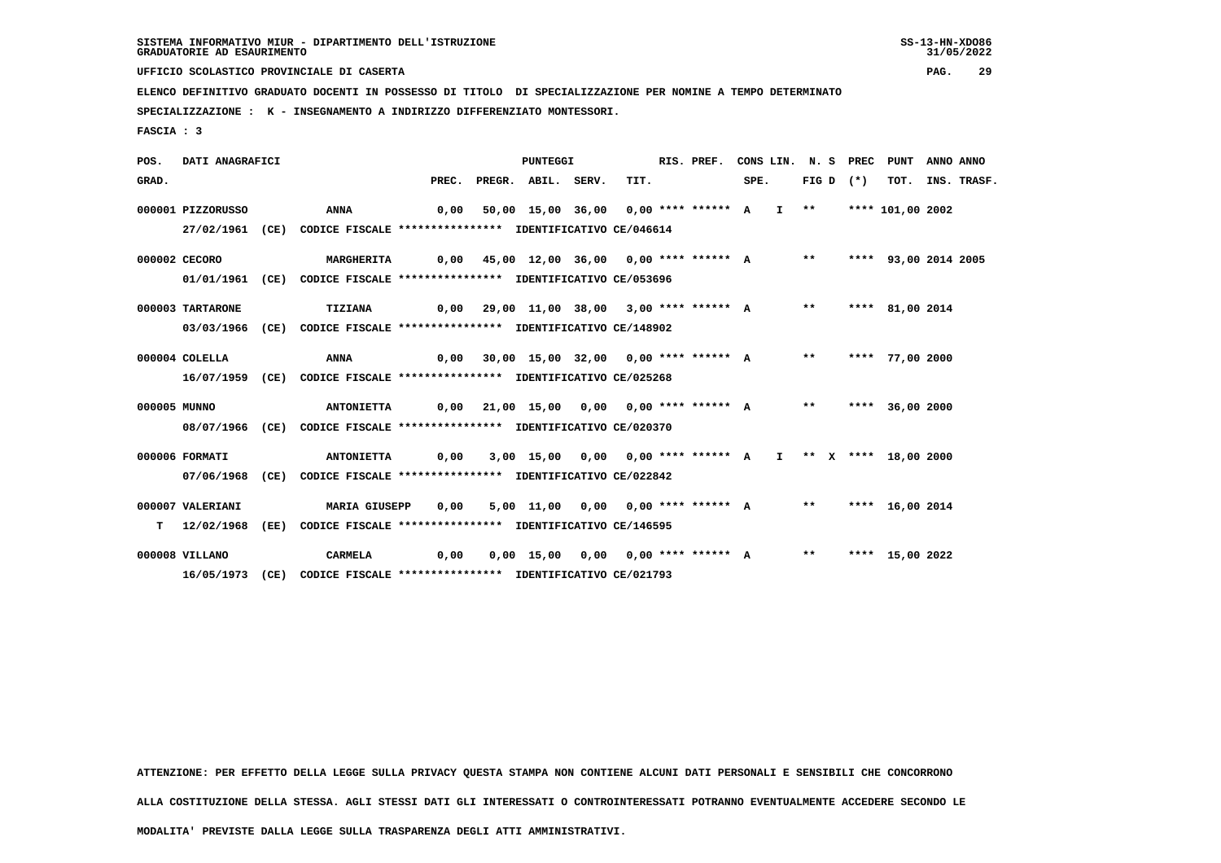**UFFICIO SCOLASTICO PROVINCIALE DI CASERTA PAG. 29**

 **ELENCO DEFINITIVO GRADUATO DOCENTI IN POSSESSO DI TITOLO DI SPECIALIZZAZIONE PER NOMINE A TEMPO DETERMINATO**

 **SPECIALIZZAZIONE : K - INSEGNAMENTO A INDIRIZZO DIFFERENZIATO MONTESSORI.**

 **FASCIA : 3**

 **POS. DATI ANAGRAFICI PUNTEGGI RIS. PREF. CONS LIN. N. S PREC PUNT ANNO ANNOGRAD.** PREC. PREGR. ABIL. SERV. TIT. SPE. FIG D (\*) TOT. INS. TRASF.  **000001 PIZZORUSSO ANNA 0,00 50,00 15,00 36,00 0,00 \*\*\*\* \*\*\*\*\*\* A I \*\* \*\*\*\* 101,00 2002 27/02/1961 (CE) CODICE FISCALE \*\*\*\*\*\*\*\*\*\*\*\*\*\*\*\* IDENTIFICATIVO CE/046614 000002 CECORO MARGHERITA 0,00 45,00 12,00 36,00 0,00 \*\*\*\* \*\*\*\*\*\* A \*\* \*\*\*\* 93,00 2014 2005 01/01/1961 (CE) CODICE FISCALE \*\*\*\*\*\*\*\*\*\*\*\*\*\*\*\* IDENTIFICATIVO CE/053696 000003 TARTARONE TIZIANA 0,00 29,00 11,00 38,00 3,00 \*\*\*\* \*\*\*\*\*\* A \*\* \*\*\*\* 81,00 2014 03/03/1966 (CE) CODICE FISCALE \*\*\*\*\*\*\*\*\*\*\*\*\*\*\*\* IDENTIFICATIVO CE/148902 000004 COLELLA ANNA 0,00 30,00 15,00 32,00 0,00 \*\*\*\* \*\*\*\*\*\* A \*\* \*\*\*\* 77,00 2000 16/07/1959 (CE) CODICE FISCALE \*\*\*\*\*\*\*\*\*\*\*\*\*\*\*\* IDENTIFICATIVO CE/025268 000005 MUNNO ANTONIETTA 0,00 21,00 15,00 0,00 0,00 \*\*\*\* \*\*\*\*\*\* A \*\* \*\*\*\* 36,00 2000 08/07/1966 (CE) CODICE FISCALE \*\*\*\*\*\*\*\*\*\*\*\*\*\*\*\* IDENTIFICATIVO CE/020370 000006 FORMATI ANTONIETTA 0,00 3,00 15,00 0,00 0,00 \*\*\*\* \*\*\*\*\*\* A I \*\* X \*\*\*\* 18,00 2000 07/06/1968 (CE) CODICE FISCALE \*\*\*\*\*\*\*\*\*\*\*\*\*\*\*\* IDENTIFICATIVO CE/022842 000007 VALERIANI MARIA GIUSEPP 0,00 5,00 11,00 0,00 0,00 \*\*\*\* \*\*\*\*\*\* A \*\* \*\*\*\* 16,00 2014 T 12/02/1968 (EE) CODICE FISCALE \*\*\*\*\*\*\*\*\*\*\*\*\*\*\*\* IDENTIFICATIVO CE/146595 000008 VILLANO CARMELA 0,00 0,00 15,00 0,00 0,00 \*\*\*\* \*\*\*\*\*\* A \*\* \*\*\*\* 15,00 2022 16/05/1973 (CE) CODICE FISCALE \*\*\*\*\*\*\*\*\*\*\*\*\*\*\*\* IDENTIFICATIVO CE/021793**

 **ATTENZIONE: PER EFFETTO DELLA LEGGE SULLA PRIVACY QUESTA STAMPA NON CONTIENE ALCUNI DATI PERSONALI E SENSIBILI CHE CONCORRONO**

 **ALLA COSTITUZIONE DELLA STESSA. AGLI STESSI DATI GLI INTERESSATI O CONTROINTERESSATI POTRANNO EVENTUALMENTE ACCEDERE SECONDO LE**